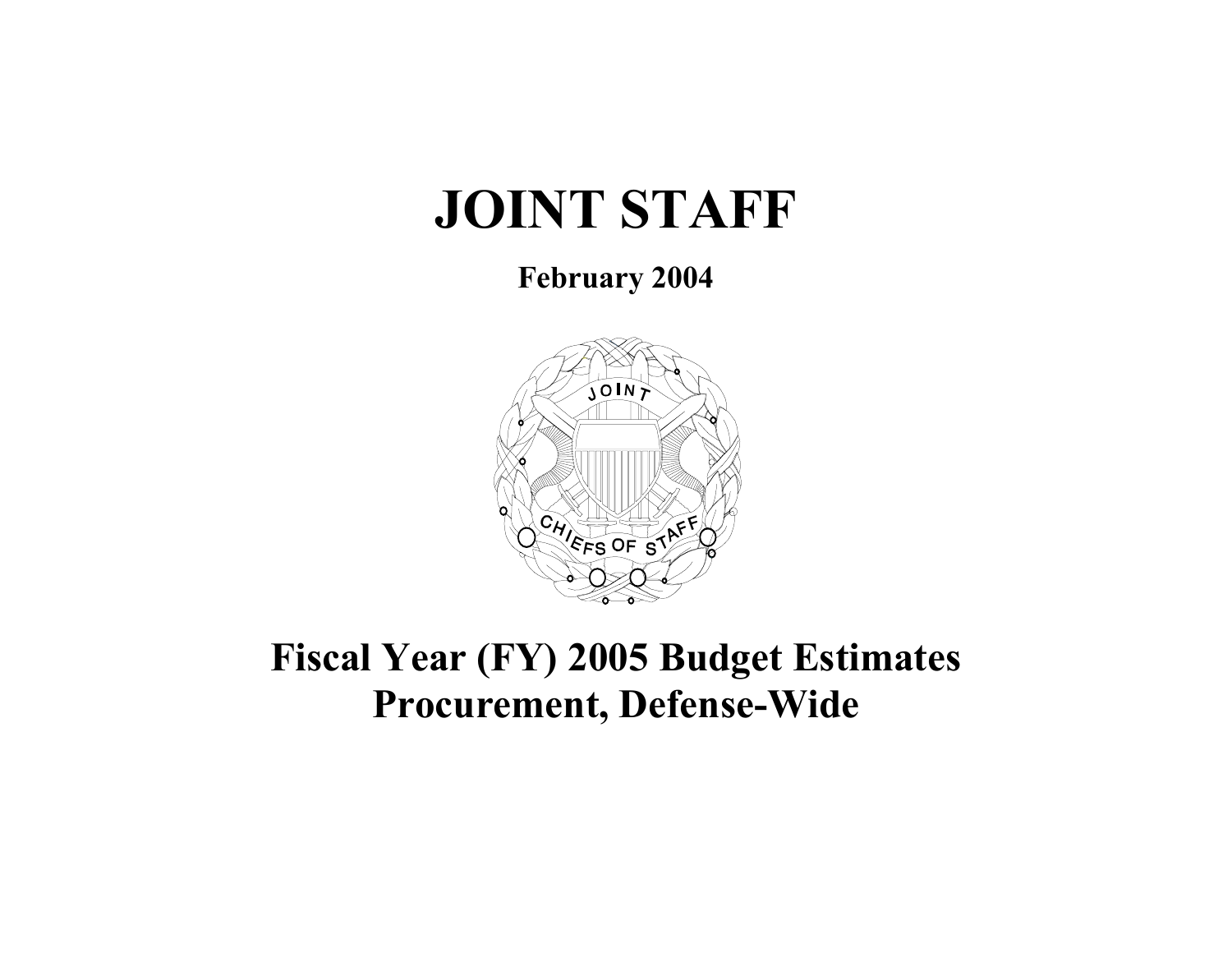# **JOINT STAFF**

**February 2004** 



# **Fiscal Year (FY) 2005 Budget Estimates Procurement, Defense-Wide**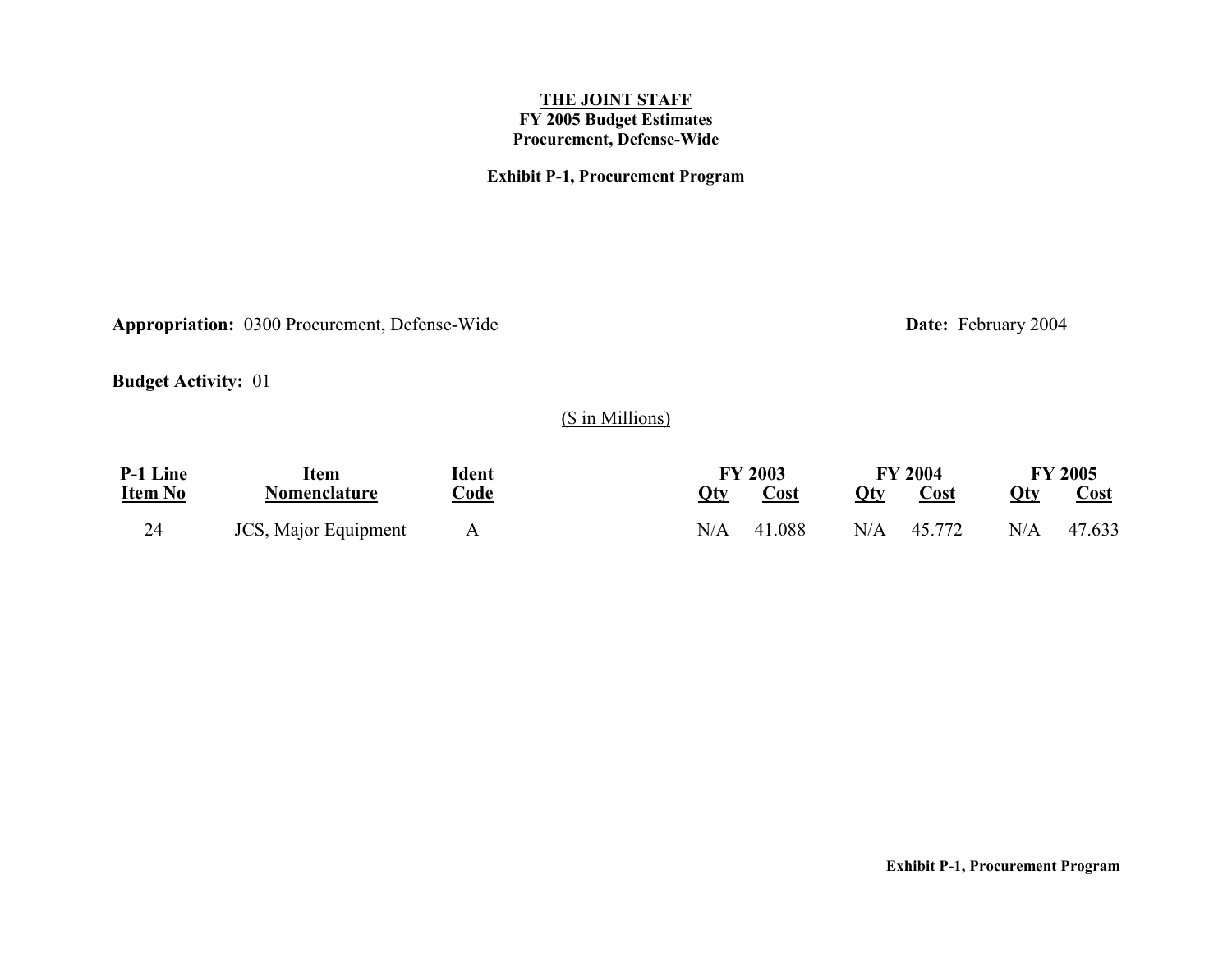### **Exhibit P-1, Procurement Program**

Appropriation: 0300 Procurement, Defense-Wide<br>
Date: February 2004

**Budget Activity:** 01

## (\$ in Millions)

| P-1 Line       | ltem                 | Ident            |     | <b>FY 2003</b> |     | <b>FY 2004</b> |     | <b>FY 2005</b> |
|----------------|----------------------|------------------|-----|----------------|-----|----------------|-----|----------------|
| <u>Item No</u> | Nomenclature         | Code<br><u>.</u> | Qty | Cost           | Oty | Cost           | Qty | <b>Cost</b>    |
| 24             | JCS, Major Equipment |                  | N/A | 41.088         |     | $N/A$ 45.772   | N/A | 47.633         |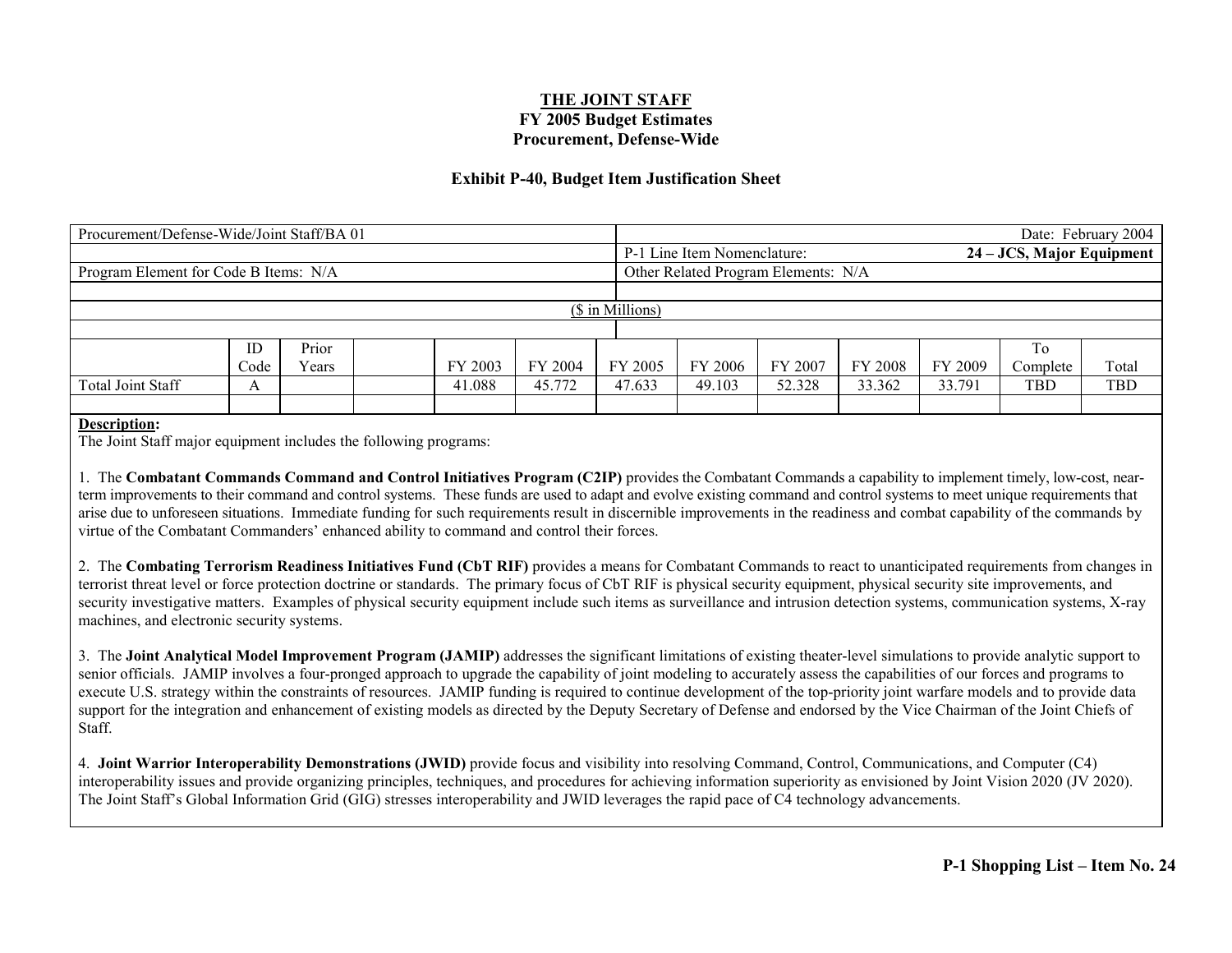#### **Exhibit P-40, Budget Item Justification Sheet**

| Procurement/Defense-Wide/Joint Staff/BA 01 |                  |       |  |         |         |         |                                     |         |         |         |                           | Date: February 2004 |  |
|--------------------------------------------|------------------|-------|--|---------|---------|---------|-------------------------------------|---------|---------|---------|---------------------------|---------------------|--|
|                                            |                  |       |  |         |         |         | P-1 Line Item Nomenclature:         |         |         |         | 24 – JCS, Major Equipment |                     |  |
| Program Element for Code B Items: N/A      |                  |       |  |         |         |         | Other Related Program Elements: N/A |         |         |         |                           |                     |  |
|                                            |                  |       |  |         |         |         |                                     |         |         |         |                           |                     |  |
|                                            | (\$ in Millions) |       |  |         |         |         |                                     |         |         |         |                           |                     |  |
|                                            |                  |       |  |         |         |         |                                     |         |         |         |                           |                     |  |
|                                            | ID               | Prior |  |         |         |         |                                     |         |         |         | To                        |                     |  |
|                                            | Code             | Years |  | FY 2003 | FY 2004 | FY 2005 | FY 2006                             | FY 2007 | FY 2008 | FY 2009 | Complete                  | Total               |  |
| Total Joint Staff                          | A                |       |  | 41.088  | 45.772  | 47.633  | 49.103                              | 52.328  | 33.362  | 33.791  | <b>TBD</b>                | <b>TBD</b>          |  |
|                                            |                  |       |  |         |         |         |                                     |         |         |         |                           |                     |  |

#### **Description:**

The Joint Staff major equipment includes the following programs:

1. The **Combatant Commands Command and Control Initiatives Program (C2IP)** provides the Combatant Commands a capability to implement timely, low-cost, nearterm improvements to their command and control systems. These funds are used to adapt and evolve existing command and control systems to meet unique requirements that arise due to unforeseen situations. Immediate funding for such requirements result in discernible improvements in the readiness and combat capability of the commands by virtue of the Combatant Commanders' enhanced ability to command and control their forces.

2. The **Combating Terrorism Readiness Initiatives Fund (CbT RIF)** provides a means for Combatant Commands to react to unanticipated requirements from changes in terrorist threat level or force protection doctrine or standards. The primary focus of CbT RIF is physical security equipment, physical security site improvements, and security investigative matters. Examples of physical security equipment include such items as surveillance and intrusion detection systems, communication systems, X-ray machines, and electronic security systems.

3. The **Joint Analytical Model Improvement Program (JAMIP)** addresses the significant limitations of existing theater-level simulations to provide analytic support to senior officials. JAMIP involves a four-pronged approach to upgrade the capability of joint modeling to accurately assess the capabilities of our forces and programs to execute U.S. strategy within the constraints of resources. JAMIP funding is required to continue development of the top-priority joint warfare models and to provide data support for the integration and enhancement of existing models as directed by the Deputy Secretary of Defense and endorsed by the Vice Chairman of the Joint Chiefs of **Staff.** 

4. **Joint Warrior Interoperability Demonstrations (JWID)** provide focus and visibility into resolving Command, Control, Communications, and Computer (C4) interoperability issues and provide organizing principles, techniques, and procedures for achieving information superiority as envisioned by Joint Vision 2020 (JV 2020). The Joint Staff's Global Information Grid (GIG) stresses interoperability and JWID leverages the rapid pace of C4 technology advancements.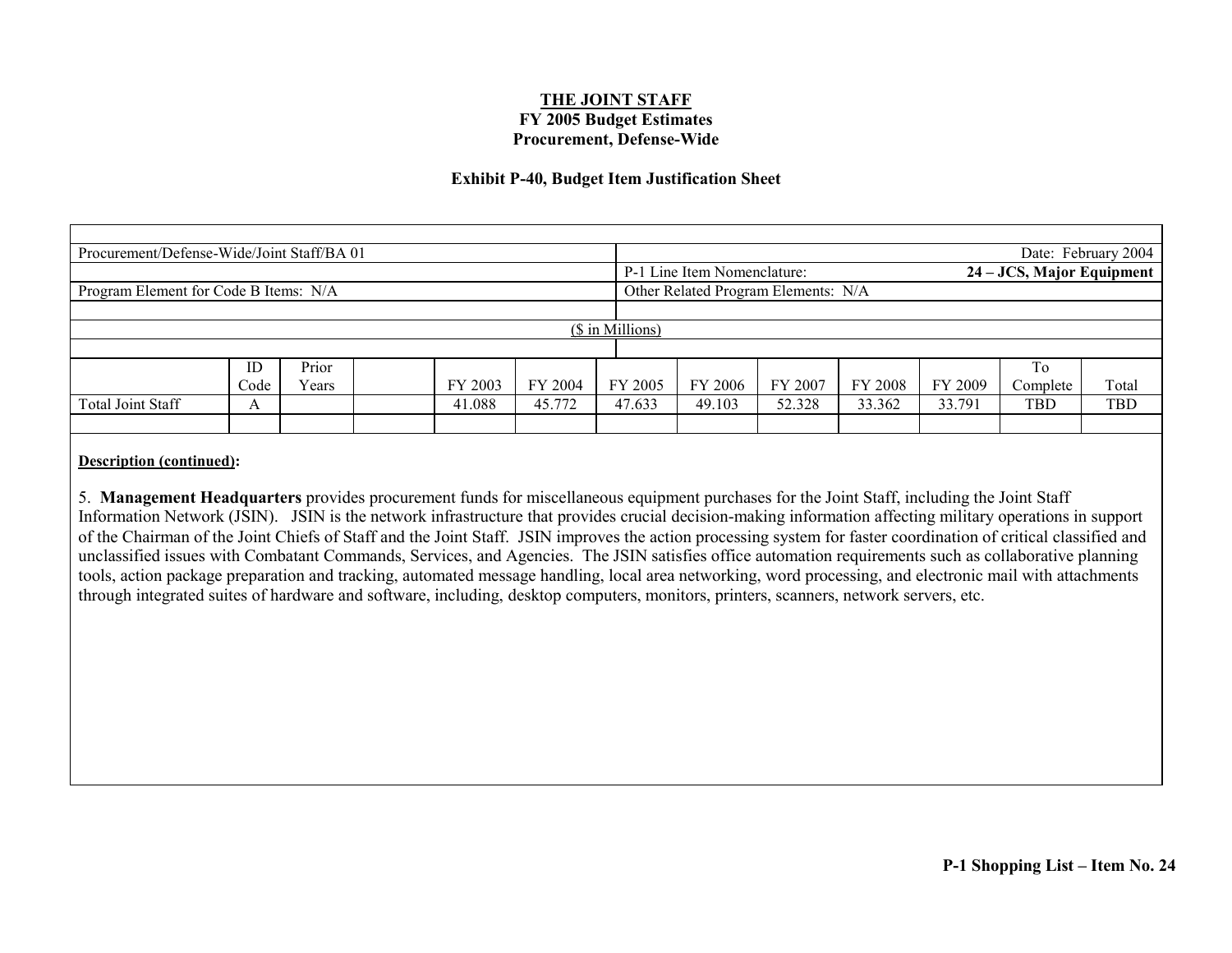#### **Exhibit P-40, Budget Item Justification Sheet**

| Procurement/Defense-Wide/Joint Staff/BA 01 |      |       |         |                                                          |                  |                                     |         |         |         |          | Date: February 2004 |
|--------------------------------------------|------|-------|---------|----------------------------------------------------------|------------------|-------------------------------------|---------|---------|---------|----------|---------------------|
|                                            |      |       |         | 24 – JCS, Major Equipment<br>P-1 Line Item Nomenclature: |                  |                                     |         |         |         |          |                     |
| Program Element for Code B Items: N/A      |      |       |         |                                                          |                  | Other Related Program Elements: N/A |         |         |         |          |                     |
|                                            |      |       |         |                                                          |                  |                                     |         |         |         |          |                     |
|                                            |      |       |         |                                                          | (\$ in Millions) |                                     |         |         |         |          |                     |
|                                            |      |       |         |                                                          |                  |                                     |         |         |         |          |                     |
|                                            | ID   | Prior |         |                                                          |                  |                                     |         |         |         | To       |                     |
|                                            | Code | Years | FY 2003 | FY 2004                                                  | FY 2005          | FY 2006                             | FY 2007 | FY 2008 | FY 2009 | Complete | Total               |
| Total Joint Staff                          | A    |       | 41.088  | 45.772                                                   | 47.633           | 49.103                              | 52.328  | 33.362  | 33.791  | TBD      | TBD                 |
|                                            |      |       |         |                                                          |                  |                                     |         |         |         |          |                     |

#### **Description (continued):**

5. **Management Headquarters** provides procurement funds for miscellaneous equipment purchases for the Joint Staff, including the Joint Staff Information Network (JSIN). JSIN is the network infrastructure that provides crucial decision-making information affecting military operations in support of the Chairman of the Joint Chiefs of Staff and the Joint Staff. JSIN improves the action processing system for faster coordination of critical classified and unclassified issues with Combatant Commands, Services, and Agencies. The JSIN satisfies office automation requirements such as collaborative planning tools, action package preparation and tracking, automated message handling, local area networking, word processing, and electronic mail with attachments through integrated suites of hardware and software, including, desktop computers, monitors, printers, scanners, network servers, etc.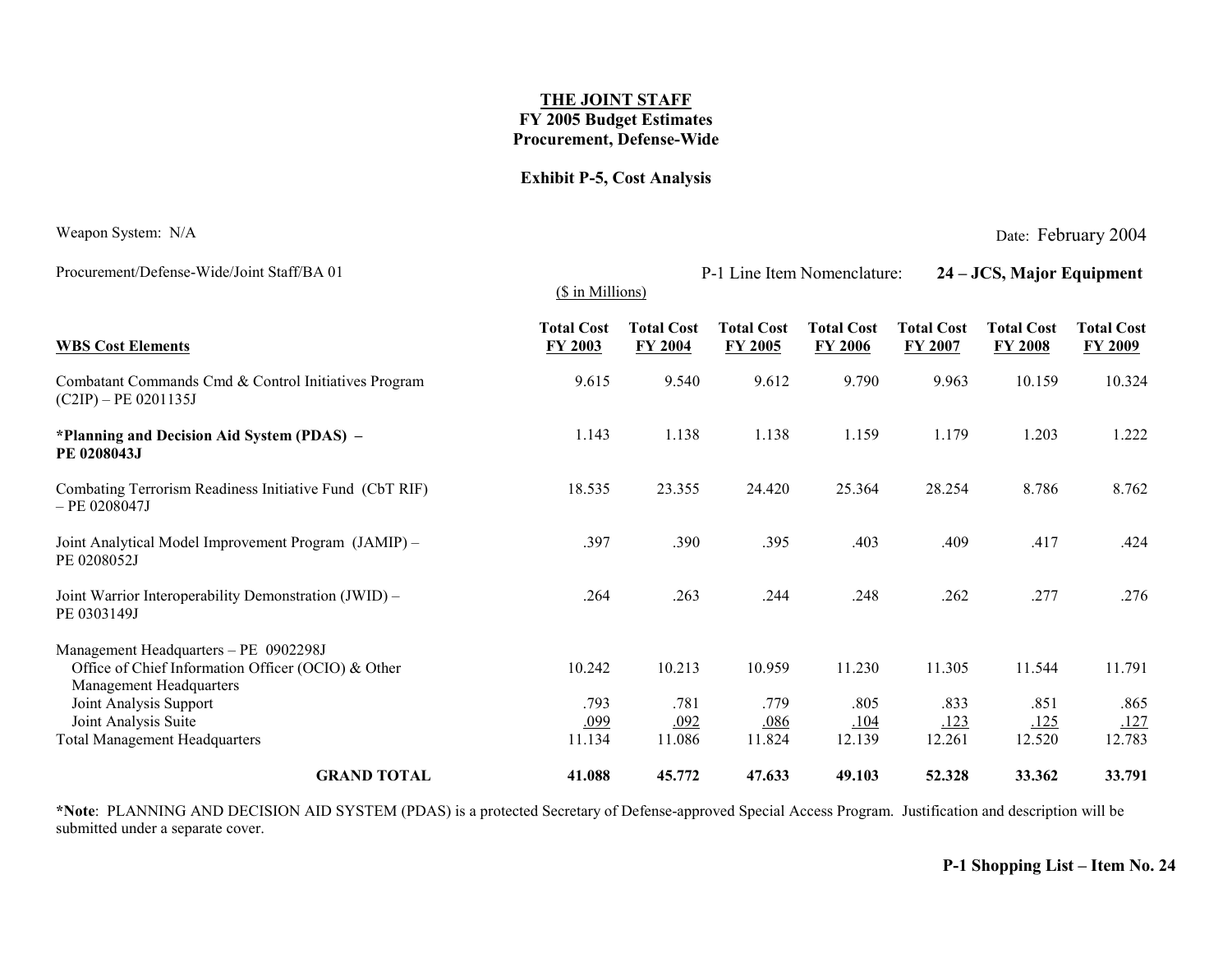#### **Exhibit P-5, Cost Analysis**

Procurement/Defense-Wide/Joint Staff/BA 01 P-1 Line Item Nomenclature: 24 – JCS, Major Equipment

Weapon System: N/A Date: February 2004

|                                                                                                                        | (\$ in Millions)                    |                                     |                                     |                                     |                              |                                     |                                     |
|------------------------------------------------------------------------------------------------------------------------|-------------------------------------|-------------------------------------|-------------------------------------|-------------------------------------|------------------------------|-------------------------------------|-------------------------------------|
| <b>WBS Cost Elements</b>                                                                                               | <b>Total Cost</b><br><b>FY 2003</b> | <b>Total Cost</b><br><b>FY 2004</b> | <b>Total Cost</b><br><b>FY 2005</b> | <b>Total Cost</b><br><b>FY 2006</b> | <b>Total Cost</b><br>FY 2007 | <b>Total Cost</b><br><b>FY 2008</b> | <b>Total Cost</b><br><b>FY 2009</b> |
| Combatant Commands Cmd & Control Initiatives Program<br>$(C2IP) - PE 0201135J$                                         | 9.615                               | 9.540                               | 9.612                               | 9.790                               | 9.963                        | 10.159                              | 10.324                              |
| *Planning and Decision Aid System (PDAS) –<br>PE 0208043J                                                              | 1.143                               | 1.138                               | 1.138                               | 1.159                               | 1.179                        | 1.203                               | 1.222                               |
| Combating Terrorism Readiness Initiative Fund (CbT RIF)<br>$-$ PE 0208047J                                             | 18.535                              | 23.355                              | 24.420                              | 25.364                              | 28.254                       | 8.786                               | 8.762                               |
| Joint Analytical Model Improvement Program (JAMIP) -<br>PE 0208052J                                                    | .397                                | .390                                | .395                                | .403                                | .409                         | .417                                | .424                                |
| Joint Warrior Interoperability Demonstration (JWID) –<br>PE 0303149J                                                   | .264                                | .263                                | .244                                | .248                                | .262                         | .277                                | .276                                |
| Management Headquarters - PE 0902298J<br>Office of Chief Information Officer (OCIO) & Other<br>Management Headquarters | 10.242                              | 10.213                              | 10.959                              | 11.230                              | 11.305                       | 11.544                              | 11.791                              |
| Joint Analysis Support<br>Joint Analysis Suite<br><b>Total Management Headquarters</b>                                 | .793<br><u>.099</u><br>11.134       | .781<br>.092<br>11.086              | .779<br><u>.086</u><br>11.824       | .805<br>.104<br>12.139              | .833<br>.123<br>12.261       | .851<br><u>.125</u><br>12.520       | .865<br>.127<br>12.783              |
| <b>GRAND TOTAL</b>                                                                                                     | 41.088                              | 45.772                              | 47.633                              | 49.103                              | 52.328                       | 33.362                              | 33.791                              |

**\*Note**: PLANNING AND DECISION AID SYSTEM (PDAS) is a protected Secretary of Defense-approved Special Access Program. Justification and description will be submitted under a separate cover.

**P-1 Shopping List – Item No. 24**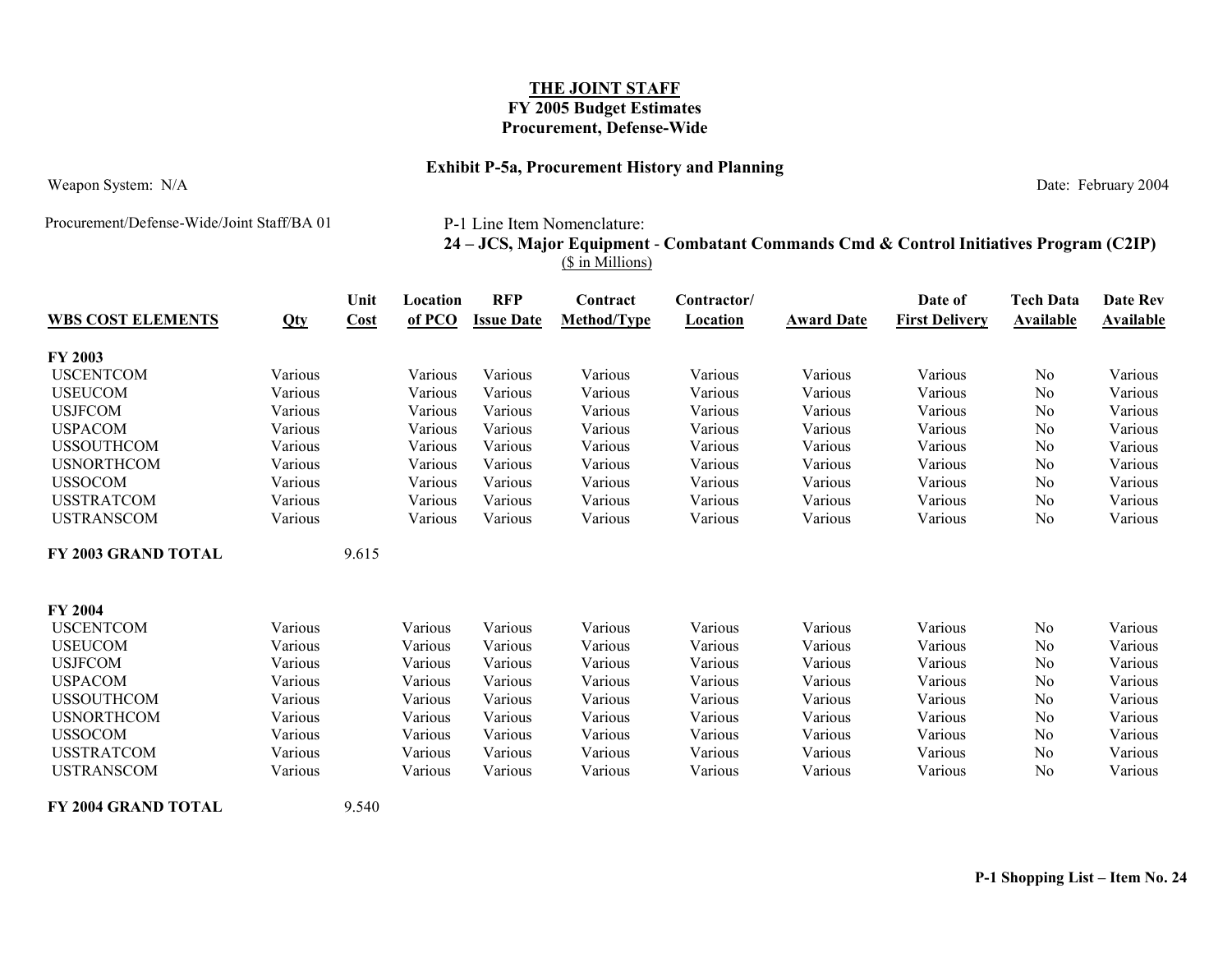#### **Exhibit P-5a, Procurement History and Planning**

Weapon System: N/A Date: February 2004

Procurement/Defense-Wide/Joint Staff/BA 01

P-1 Line Item Nomenclature:

### **24 – JCS, Major Equipment** - **Combatant Commands Cmd & Control Initiatives Program (C2IP)** (\$ in Millions)

| <b>WBS COST ELEMENTS</b>   | Qty     | Unit<br>Cost | Location<br>of PCO | <b>RFP</b><br><b>Issue Date</b> | Contract<br>Method/Type | Contractor/<br><b>Location</b> | <b>Award Date</b> | Date of<br><b>First Delivery</b> | <b>Tech Data</b><br><b>Available</b> | Date Rev<br><b>Available</b> |
|----------------------------|---------|--------------|--------------------|---------------------------------|-------------------------|--------------------------------|-------------------|----------------------------------|--------------------------------------|------------------------------|
| <b>FY 2003</b>             |         |              |                    |                                 |                         |                                |                   |                                  |                                      |                              |
| <b>USCENTCOM</b>           | Various |              | Various            | Various                         | Various                 | Various                        | Various           | Various                          | N <sub>o</sub>                       | Various                      |
| <b>USEUCOM</b>             | Various |              | Various            | Various                         | Various                 | Various                        | Various           | Various                          | N <sub>0</sub>                       | Various                      |
| <b>USJFCOM</b>             | Various |              | Various            | Various                         | Various                 | Various                        | Various           | Various                          | No                                   | Various                      |
| <b>USPACOM</b>             | Various |              | Various            | Various                         | Various                 | Various                        | Various           | Various                          | No                                   | Various                      |
| <b>USSOUTHCOM</b>          | Various |              | Various            | Various                         | Various                 | Various                        | Various           | Various                          | N <sub>0</sub>                       | Various                      |
| <b>USNORTHCOM</b>          | Various |              | Various            | Various                         | Various                 | Various                        | Various           | Various                          | N <sub>0</sub>                       | Various                      |
| <b>USSOCOM</b>             | Various |              | Various            | Various                         | Various                 | Various                        | Various           | Various                          | No                                   | Various                      |
| <b>USSTRATCOM</b>          | Various |              | Various            | Various                         | Various                 | Various                        | Various           | Various                          | N <sub>0</sub>                       | Various                      |
| <b>USTRANSCOM</b>          | Various |              | Various            | Various                         | Various                 | Various                        | Various           | Various                          | N <sub>0</sub>                       | Various                      |
| <b>FY 2003 GRAND TOTAL</b> |         | 9.615        |                    |                                 |                         |                                |                   |                                  |                                      |                              |
| <b>FY 2004</b>             |         |              |                    |                                 |                         |                                |                   |                                  |                                      |                              |
| <b>USCENTCOM</b>           | Various |              | Various            | Various                         | Various                 | Various                        | Various           | Various                          | No                                   | Various                      |
| <b>USEUCOM</b>             | Various |              | Various            | Various                         | Various                 | Various                        | Various           | Various                          | N <sub>0</sub>                       | Various                      |
| <b>USJFCOM</b>             | Various |              | Various            | Various                         | Various                 | Various                        | Various           | Various                          | N <sub>0</sub>                       | Various                      |
| <b>USPACOM</b>             | Various |              | Various            | Various                         | Various                 | Various                        | Various           | Various                          | No                                   | Various                      |
| <b>USSOUTHCOM</b>          | Various |              | Various            | Various                         | Various                 | Various                        | Various           | Various                          | N <sub>0</sub>                       | Various                      |
| <b>USNORTHCOM</b>          | Various |              | Various            | Various                         | Various                 | Various                        | Various           | Various                          | No                                   | Various                      |
| <b>USSOCOM</b>             | Various |              | Various            | Various                         | Various                 | Various                        | Various           | Various                          | N <sub>0</sub>                       | Various                      |
| <b>USSTRATCOM</b>          | Various |              | Various            | Various                         | Various                 | Various                        | Various           | Various                          | N <sub>0</sub>                       | Various                      |
| <b>USTRANSCOM</b>          | Various |              | Various            | Various                         | Various                 | Various                        | Various           | Various                          | N <sub>0</sub>                       | Various                      |
|                            |         |              |                    |                                 |                         |                                |                   |                                  |                                      |                              |

**FY 2004 GRAND TOTAL** 9.540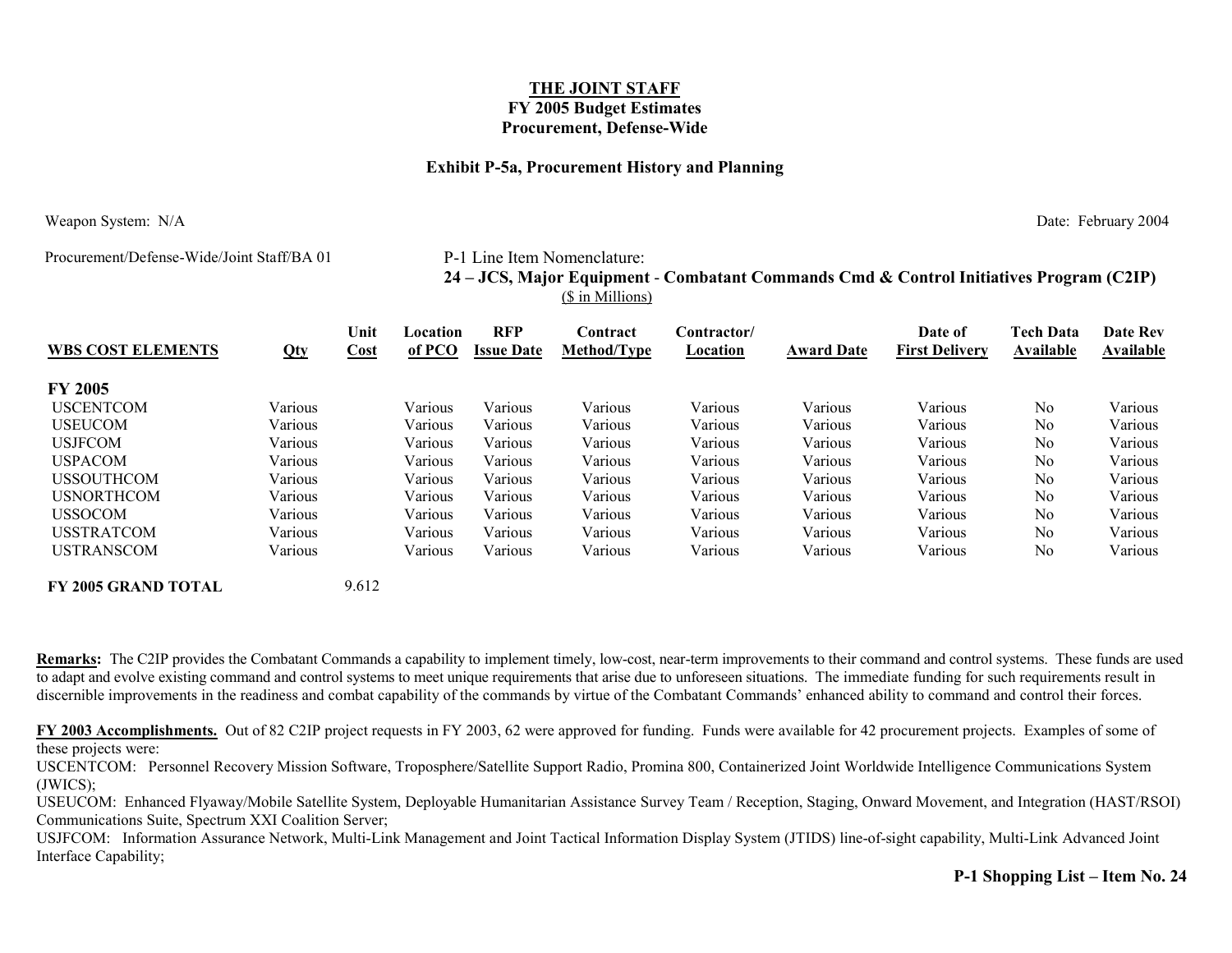#### **Exhibit P-5a, Procurement History and Planning**

Weapon System: N/A Date: February 2004

Procurement/Defense-Wide/Joint Staff/BA 01 P-1 Line Item Nomenclature:

### **24 – JCS, Major Equipment** - **Combatant Commands Cmd & Control Initiatives Program (C2IP)** (\$ in Millions)

| <b>WBS COST ELEMENTS</b> | Qty     | Unit<br>Cost | Location<br>of PCO | <b>RFP</b><br><b>Issue Date</b> | Contract<br><b>Method/Type</b> | Contractor/<br>Location | <b>Award Date</b> | Date of<br><b>First Delivery</b> | <b>Tech Data</b><br>Available | <b>Date Rev</b><br>Available |
|--------------------------|---------|--------------|--------------------|---------------------------------|--------------------------------|-------------------------|-------------------|----------------------------------|-------------------------------|------------------------------|
| <b>FY 2005</b>           |         |              |                    |                                 |                                |                         |                   |                                  |                               |                              |
| <b>USCENTCOM</b>         | Various |              | Various            | Various                         | Various                        | Various                 | Various           | Various                          | N <sub>0</sub>                | Various                      |
| <b>USEUCOM</b>           | Various |              | Various            | Various                         | Various                        | Various                 | Various           | Various                          | N <sub>0</sub>                | Various                      |
| <b>USJFCOM</b>           | Various |              | Various            | Various                         | Various                        | Various                 | Various           | Various                          | N <sub>0</sub>                | Various                      |
| <b>USPACOM</b>           | Various |              | Various            | Various                         | Various                        | Various                 | Various           | Various                          | N <sub>0</sub>                | Various                      |
| <b>USSOUTHCOM</b>        | Various |              | Various            | Various                         | Various                        | Various                 | Various           | Various                          | N <sub>0</sub>                | Various                      |
| <b>USNORTHCOM</b>        | Various |              | Various            | Various                         | Various                        | Various                 | Various           | Various                          | N <sub>0</sub>                | Various                      |
| <b>USSOCOM</b>           | Various |              | Various            | Various                         | Various                        | Various                 | Various           | Various                          | N <sub>0</sub>                | Various                      |
| <b>USSTRATCOM</b>        | Various |              | Various            | Various                         | Various                        | Various                 | Various           | Various                          | N <sub>0</sub>                | Various                      |
| <b>USTRANSCOM</b>        | Various |              | Various            | Various                         | Various                        | Various                 | Various           | Various                          | N <sub>0</sub>                | Various                      |

**FY 2005 GRAND TOTAL** 9.612

**Remarks:** The C2IP provides the Combatant Commands a capability to implement timely, low-cost, near-term improvements to their command and control systems. These funds are used to adapt and evolve existing command and control systems to meet unique requirements that arise due to unforeseen situations. The immediate funding for such requirements result in discernible improvements in the readiness and combat capability of the commands by virtue of the Combatant Commands' enhanced ability to command and control their forces.

**FY 2003 Accomplishments.** Out of 82 C2IP project requests in FY 2003, 62 were approved for funding. Funds were available for 42 procurement projects. Examples of some of these projects were:

USCENTCOM: Personnel Recovery Mission Software, Troposphere/Satellite Support Radio, Promina 800, Containerized Joint Worldwide Intelligence Communications System (JWICS);

USEUCOM: Enhanced Flyaway/Mobile Satellite System, Deployable Humanitarian Assistance Survey Team / Reception, Staging, Onward Movement, and Integration (HAST/RSOI) Communications Suite, Spectrum XXI Coalition Server;

USJFCOM: Information Assurance Network, Multi-Link Management and Joint Tactical Information Display System (JTIDS) line-of-sight capability, Multi-Link Advanced Joint Interface Capability;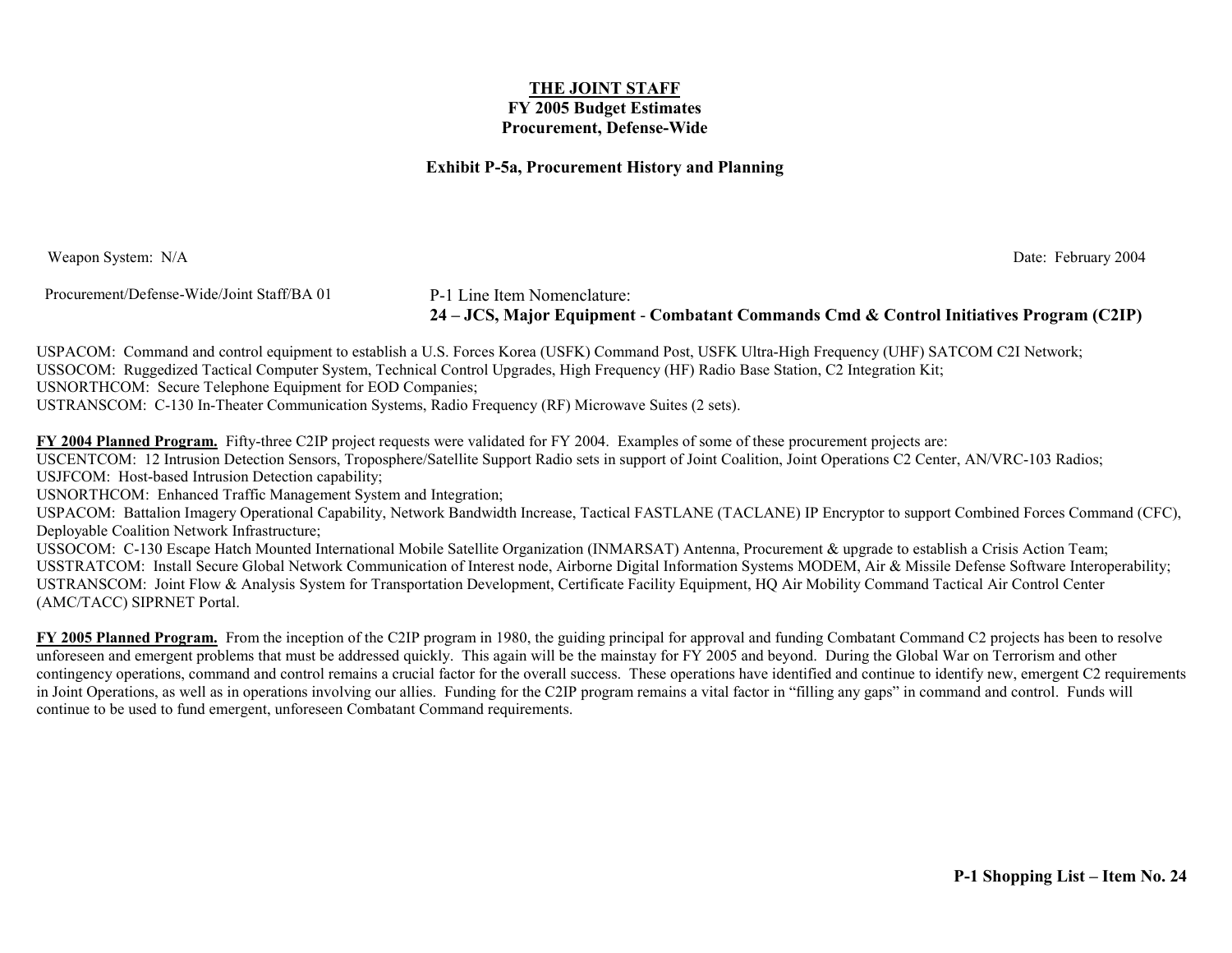#### **Exhibit P-5a, Procurement History and Planning**

Weapon System: N/A Date: February 2004

Procurement/Defense-Wide/Joint Staff/BA 01 P-1 Line Item Nomenclature:

**24 – JCS, Major Equipment** - **Combatant Commands Cmd & Control Initiatives Program (C2IP)**

USPACOM: Command and control equipment to establish a U.S. Forces Korea (USFK) Command Post, USFK Ultra-High Frequency (UHF) SATCOM C2I Network; USSOCOM: Ruggedized Tactical Computer System, Technical Control Upgrades, High Frequency (HF) Radio Base Station, C2 Integration Kit; USNORTHCOM: Secure Telephone Equipment for EOD Companies;

USTRANSCOM: C-130 In-Theater Communication Systems, Radio Frequency (RF) Microwave Suites (2 sets).

**FY 2004 Planned Program.** Fifty-three C2IP project requests were validated for FY 2004. Examples of some of these procurement projects are: USCENTCOM: 12 Intrusion Detection Sensors, Troposphere/Satellite Support Radio sets in support of Joint Coalition, Joint Operations C2 Center, AN/VRC-103 Radios; USJFCOM: Host-based Intrusion Detection capability;

USNORTHCOM: Enhanced Traffic Management System and Integration;

USPACOM: Battalion Imagery Operational Capability, Network Bandwidth Increase, Tactical FASTLANE (TACLANE) IP Encryptor to support Combined Forces Command (CFC), Deployable Coalition Network Infrastructure;

USSOCOM: C-130 Escape Hatch Mounted International Mobile Satellite Organization (INMARSAT) Antenna, Procurement & upgrade to establish a Crisis Action Team; USSTRATCOM: Install Secure Global Network Communication of Interest node, Airborne Digital Information Systems MODEM, Air & Missile Defense Software Interoperability; USTRANSCOM: Joint Flow & Analysis System for Transportation Development, Certificate Facility Equipment, HQ Air Mobility Command Tactical Air Control Center (AMC/TACC) SIPRNET Portal.

**FY 2005 Planned Program.** From the inception of the C2IP program in 1980, the guiding principal for approval and funding Combatant Command C2 projects has been to resolve unforeseen and emergent problems that must be addressed quickly. This again will be the mainstay for FY 2005 and beyond. During the Global War on Terrorism and other contingency operations, command and control remains a crucial factor for the overall success. These operations have identified and continue to identify new, emergent C2 requirements in Joint Operations, as well as in operations involving our allies. Funding for the C2IP program remains a vital factor in "filling any gaps" in command and control. Funds will continue to be used to fund emergent, unforeseen Combatant Command requirements.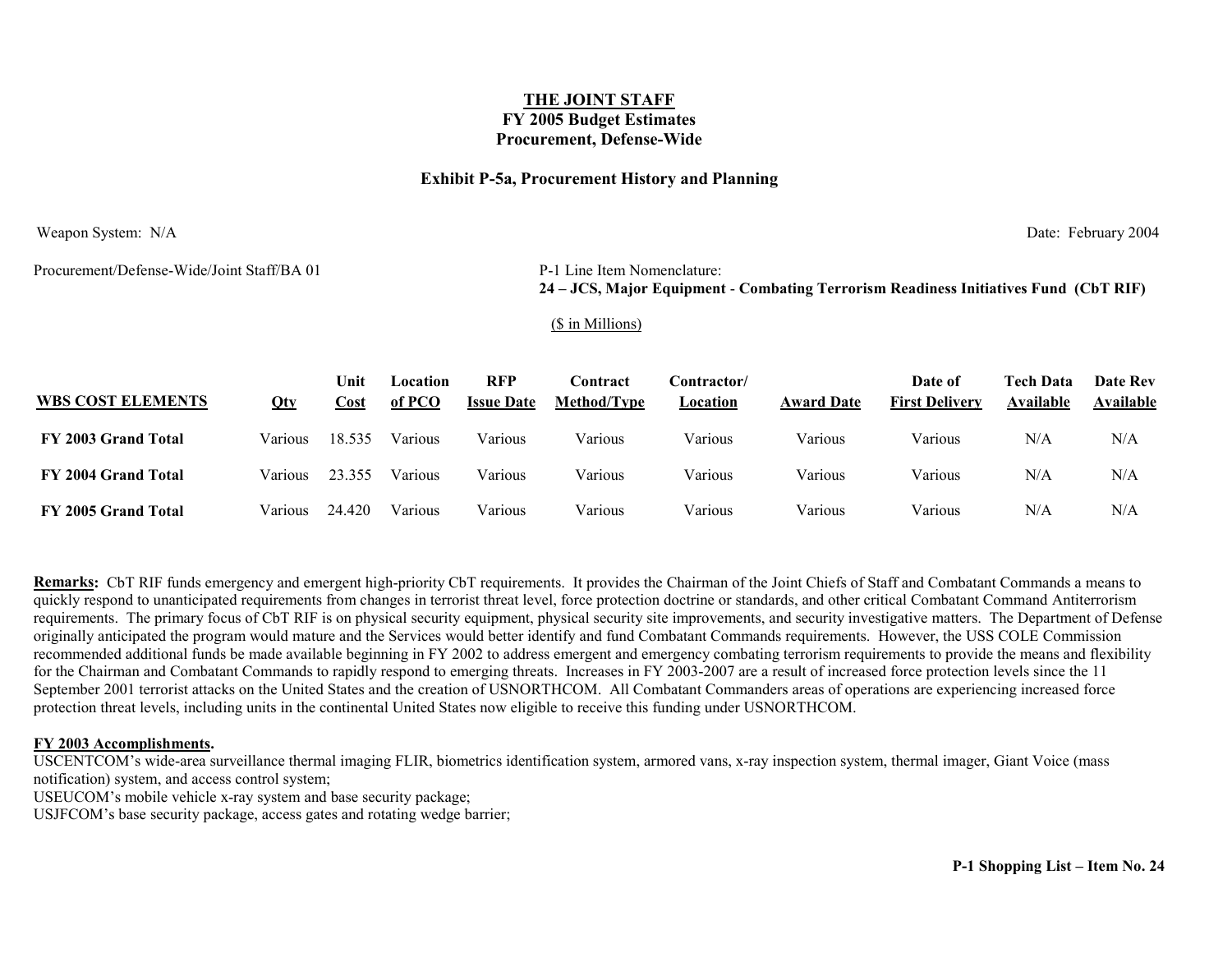#### **Exhibit P-5a, Procurement History and Planning**

Weapon System: N/A Date: February 2004

Procurement/Defense-Wide/Joint Staff/BA 01 P-1 Line Item Nomenclature:

**24 – JCS, Major Equipment** - **Combating Terrorism Readiness Initiatives Fund (CbT RIF)**

#### (\$ in Millions)

| <b>WBS COST ELEMENTS</b> | Qty     | Unit<br>Cost | Location<br>of PCO | <b>RFP</b><br><b>Issue Date</b> | <b>Contract</b><br><b>Method/Type</b> | Contractor/<br>Location | <b>Award Date</b> | Date of<br><b>First Delivery</b> | <b>Tech Data</b><br>Available | <b>Date Rev</b><br>Available |
|--------------------------|---------|--------------|--------------------|---------------------------------|---------------------------------------|-------------------------|-------------------|----------------------------------|-------------------------------|------------------------------|
| FY 2003 Grand Total      | Various | 18.535       | Various            | Various                         | Various                               | Various                 | Various           | Various                          | N/A                           | N/A                          |
| FY 2004 Grand Total      | Various | 23.355       | Various            | Various                         | Various                               | Various                 | Various           | Various                          | N/A                           | N/A                          |
| FY 2005 Grand Total      | Various | 24.420       | Various            | Various                         | Various                               | Various                 | Various           | Various                          | N/A                           | N/A                          |

**Remarks:** CbT RIF funds emergency and emergent high-priority CbT requirements. It provides the Chairman of the Joint Chiefs of Staff and Combatant Commands a means to quickly respond to unanticipated requirements from changes in terrorist threat level, force protection doctrine or standards, and other critical Combatant Command Antiterrorism requirements. The primary focus of CbT RIF is on physical security equipment, physical security site improvements, and security investigative matters. The Department of Defense originally anticipated the program would mature and the Services would better identify and fund Combatant Commands requirements. However, the USS COLE Commission recommended additional funds be made available beginning in FY 2002 to address emergent and emergency combating terrorism requirements to provide the means and flexibility for the Chairman and Combatant Commands to rapidly respond to emerging threats. Increases in FY 2003-2007 are a result of increased force protection levels since the 11 September 2001 terrorist attacks on the United States and the creation of USNORTHCOM. All Combatant Commanders areas of operations are experiencing increased force protection threat levels, including units in the continental United States now eligible to receive this funding under USNORTHCOM.

#### **FY 2003 Accomplishments.**

USCENTCOM's wide-area surveillance thermal imaging FLIR, biometrics identification system, armored vans, x-ray inspection system, thermal imager, Giant Voice (mass notification) system, and access control system;

USEUCOM's mobile vehicle x-ray system and base security package;

USJFCOM's base security package, access gates and rotating wedge barrier;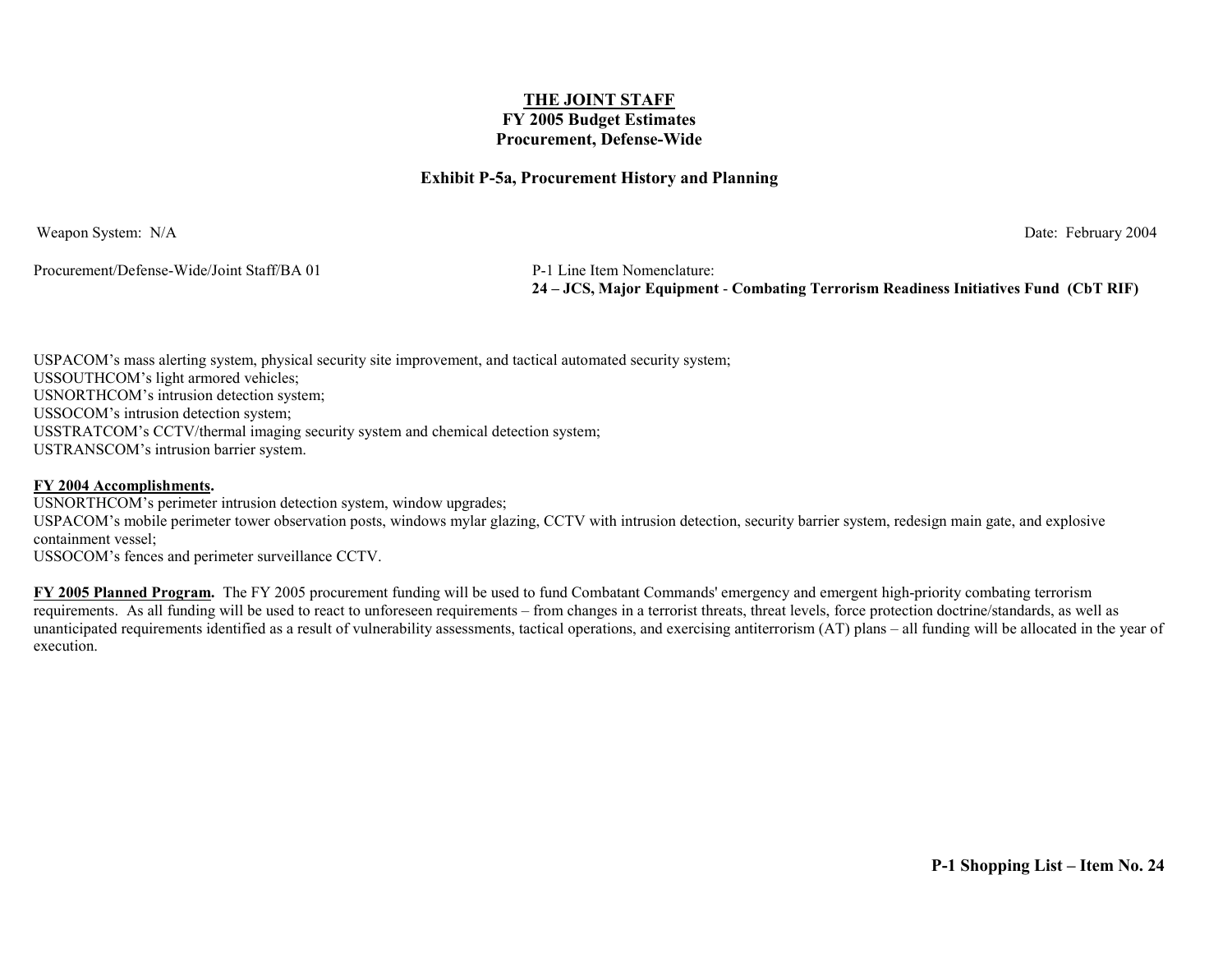#### **Exhibit P-5a, Procurement History and Planning**

Weapon System: N/A Date: February 2004

Procurement/Defense-Wide/Joint Staff/BA 01 P-1 Line Item Nomenclature:

**24 – JCS, Major Equipment** - **Combating Terrorism Readiness Initiatives Fund (CbT RIF)**

USPACOM's mass alerting system, physical security site improvement, and tactical automated security system; USSOUTHCOM's light armored vehicles; USNORTHCOM's intrusion detection system; USSOCOM's intrusion detection system; USSTRATCOM's CCTV/thermal imaging security system and chemical detection system; USTRANSCOM's intrusion barrier system.

#### **FY 2004 Accomplishments.**

USNORTHCOM's perimeter intrusion detection system, window upgrades; USPACOM's mobile perimeter tower observation posts, windows mylar glazing, CCTV with intrusion detection, security barrier system, redesign main gate, and explosive containment vessel; USSOCOM's fences and perimeter surveillance CCTV.

**FY 2005 Planned Program.** The FY 2005 procurement funding will be used to fund Combatant Commands' emergency and emergent high-priority combating terrorism requirements. As all funding will be used to react to unforeseen requirements – from changes in a terrorist threats, threat levels, force protection doctrine/standards, as well as unanticipated requirements identified as a result of vulnerability assessments, tactical operations, and exercising antiterrorism (AT) plans – all funding will be allocated in the year of execution.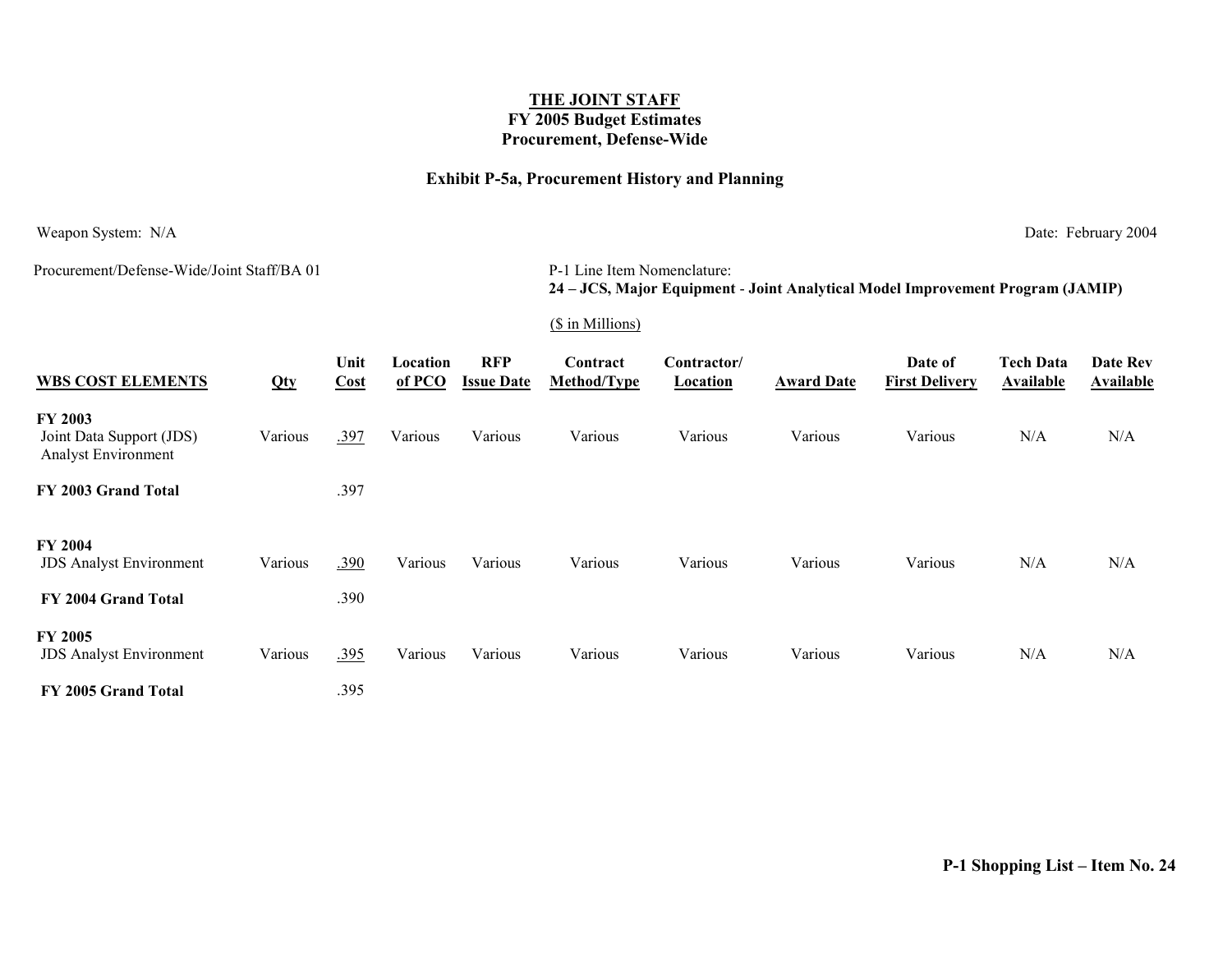### **Exhibit P-5a, Procurement History and Planning**

Weapon System: N/A Date: February 2004

Procurement/Defense-Wide/Joint Staff/BA 01

#### P-1 Line Item Nomenclature: **24 – JCS, Major Equipment** - **Joint Analytical Model Improvement Program (JAMIP)**

#### (\$ in Millions)

| <b>WBS COST ELEMENTS</b>                                          | Qty     | Unit<br>Cost | Location<br>of PCO | <b>RFP</b><br><b>Issue Date</b> | Contract<br>Method/Type | Contractor/<br>Location | <b>Award Date</b> | Date of<br><b>First Delivery</b> | <b>Tech Data</b><br>Available | Date Rev<br>Available |
|-------------------------------------------------------------------|---------|--------------|--------------------|---------------------------------|-------------------------|-------------------------|-------------------|----------------------------------|-------------------------------|-----------------------|
| <b>FY 2003</b><br>Joint Data Support (JDS)<br>Analyst Environment | Various | .397         | Various            | Various                         | Various                 | Various                 | Various           | Various                          | N/A                           | N/A                   |
| FY 2003 Grand Total                                               |         | .397         |                    |                                 |                         |                         |                   |                                  |                               |                       |
| <b>FY 2004</b><br><b>JDS</b> Analyst Environment                  | Various | .390         | Various            | Various                         | Various                 | Various                 | Various           | Various                          | N/A                           | N/A                   |
| FY 2004 Grand Total                                               |         | .390         |                    |                                 |                         |                         |                   |                                  |                               |                       |
| <b>FY 2005</b><br><b>JDS</b> Analyst Environment                  | Various | .395         | Various            | Various                         | Various                 | Various                 | Various           | Various                          | N/A                           | N/A                   |
| FY 2005 Grand Total                                               |         | .395         |                    |                                 |                         |                         |                   |                                  |                               |                       |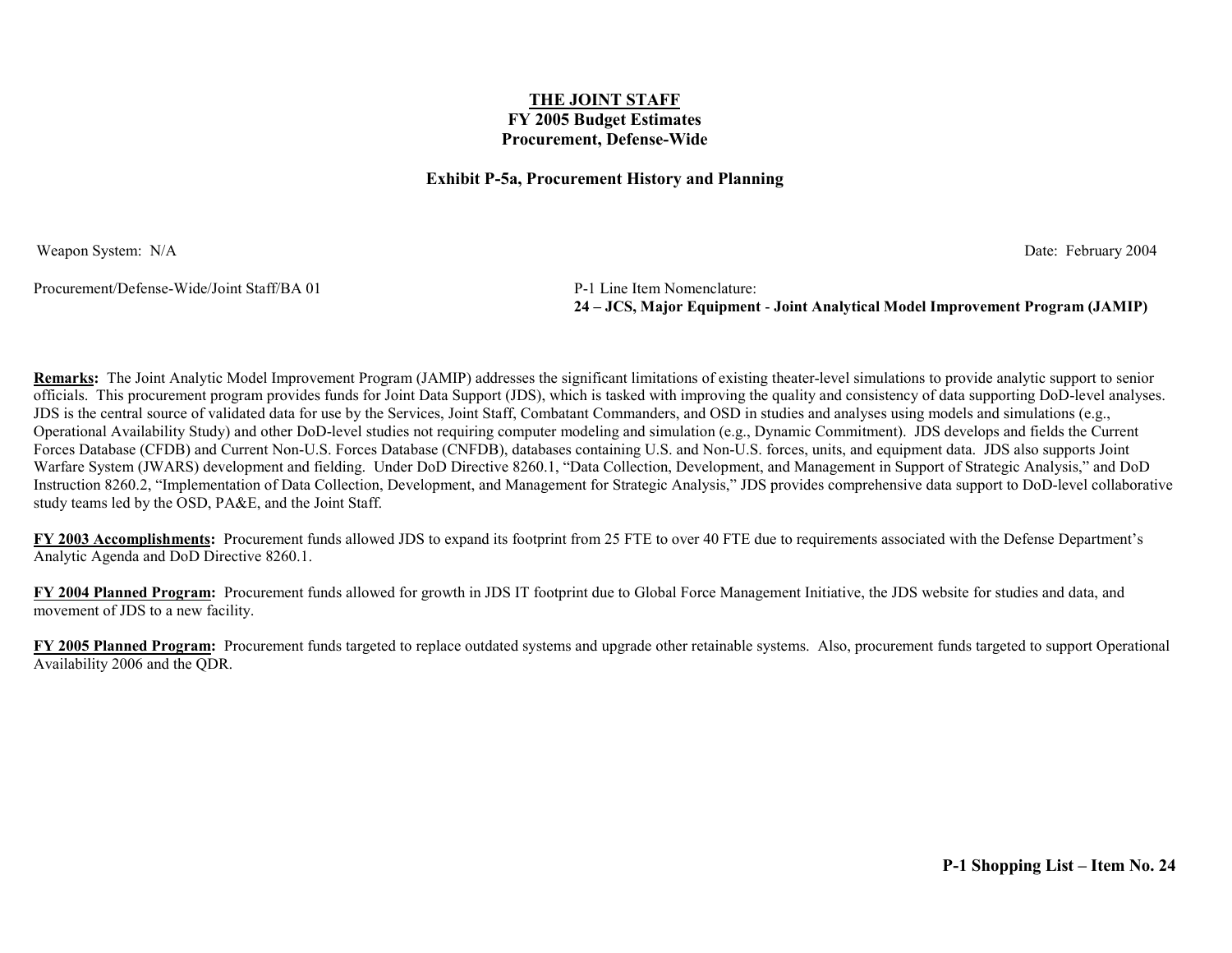#### **Exhibit P-5a, Procurement History and Planning**

Weapon System: N/A Date: February 2004

Procurement/Defense-Wide/Joint Staff/BA 01 P-1 Line Item Nomenclature:

**24 – JCS, Major Equipment** - **Joint Analytical Model Improvement Program (JAMIP)**

**Remarks:** The Joint Analytic Model Improvement Program (JAMIP) addresses the significant limitations of existing theater-level simulations to provide analytic support to senior officials. This procurement program provides funds for Joint Data Support (JDS), which is tasked with improving the quality and consistency of data supporting DoD-level analyses. JDS is the central source of validated data for use by the Services, Joint Staff, Combatant Commanders, and OSD in studies and analyses using models and simulations (e.g., Operational Availability Study) and other DoD-level studies not requiring computer modeling and simulation (e.g., Dynamic Commitment). JDS develops and fields the Current Forces Database (CFDB) and Current Non-U.S. Forces Database (CNFDB), databases containing U.S. and Non-U.S. forces, units, and equipment data. JDS also supports Joint Warfare System (JWARS) development and fielding. Under DoD Directive 8260.1, "Data Collection, Development, and Management in Support of Strategic Analysis," and DoD Instruction 8260.2, "Implementation of Data Collection, Development, and Management for Strategic Analysis," JDS provides comprehensive data support to DoD-level collaborative study teams led by the OSD, PA&E, and the Joint Staff.

**FY 2003 Accomplishments:** Procurement funds allowed JDS to expand its footprint from 25 FTE to over 40 FTE due to requirements associated with the Defense Department's Analytic Agenda and DoD Directive 8260.1.

**FY 2004 Planned Program:** Procurement funds allowed for growth in JDS IT footprint due to Global Force Management Initiative, the JDS website for studies and data, and movement of JDS to a new facility.

**FY 2005 Planned Program:** Procurement funds targeted to replace outdated systems and upgrade other retainable systems. Also, procurement funds targeted to support Operational Availability 2006 and the QDR.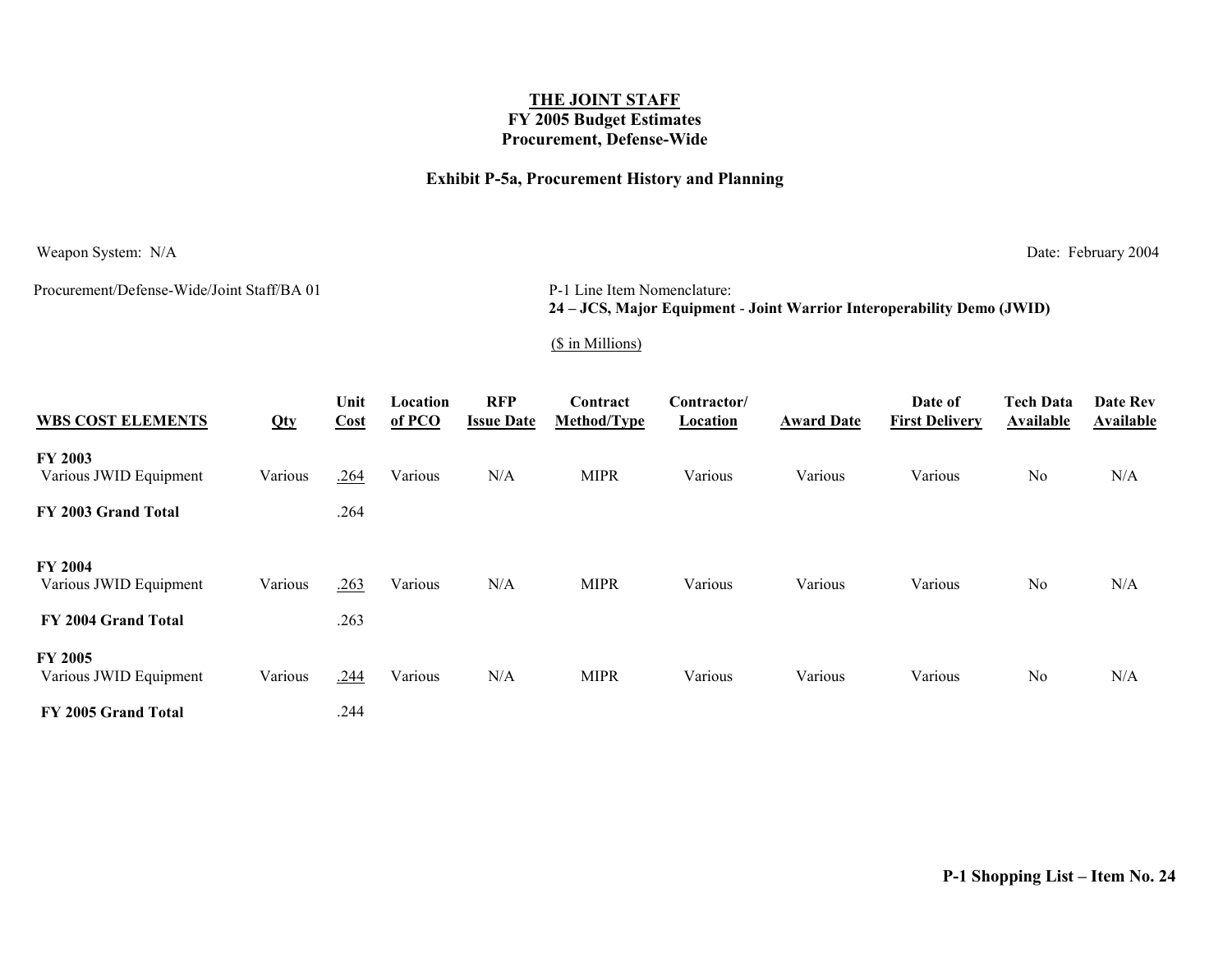### **Exhibit P-5a, Procurement History and Planning**

Weapon System: N/A Date: February 2004

Procurement/Defense-Wide/Joint Staff/BA 01

P-1 Line Item Nomenclature: **24 – JCS, Major Equipment** - **Joint Warrior Interoperability Demo (JWID)**

#### (\$ in Millions)

| <b>WBS COST ELEMENTS</b>                 | Qty     | Unit<br>Cost | Location<br>$of PCO$ | <b>RFP</b><br><b>Issue Date</b> | Contract<br>Method/Type | Contractor/<br><b>Location</b> | <b>Award Date</b> | Date of<br><b>First Delivery</b> | <b>Tech Data</b><br><b>Available</b> | Date Rev<br><b>Available</b> |
|------------------------------------------|---------|--------------|----------------------|---------------------------------|-------------------------|--------------------------------|-------------------|----------------------------------|--------------------------------------|------------------------------|
| <b>FY 2003</b><br>Various JWID Equipment | Various | .264         | Various              | N/A                             | <b>MIPR</b>             | Various                        | Various           | Various                          | N <sub>o</sub>                       | N/A                          |
| FY 2003 Grand Total                      |         | .264         |                      |                                 |                         |                                |                   |                                  |                                      |                              |
| <b>FY 2004</b><br>Various JWID Equipment | Various | .263         | Various              | N/A                             | <b>MIPR</b>             | Various                        | Various           | Various                          | N <sub>0</sub>                       | N/A                          |
| FY 2004 Grand Total                      |         | .263         |                      |                                 |                         |                                |                   |                                  |                                      |                              |
| <b>FY 2005</b><br>Various JWID Equipment | Various | .244         | Various              | N/A                             | <b>MIPR</b>             | Various                        | Various           | Various                          | N <sub>o</sub>                       | N/A                          |
| FY 2005 Grand Total                      |         | .244         |                      |                                 |                         |                                |                   |                                  |                                      |                              |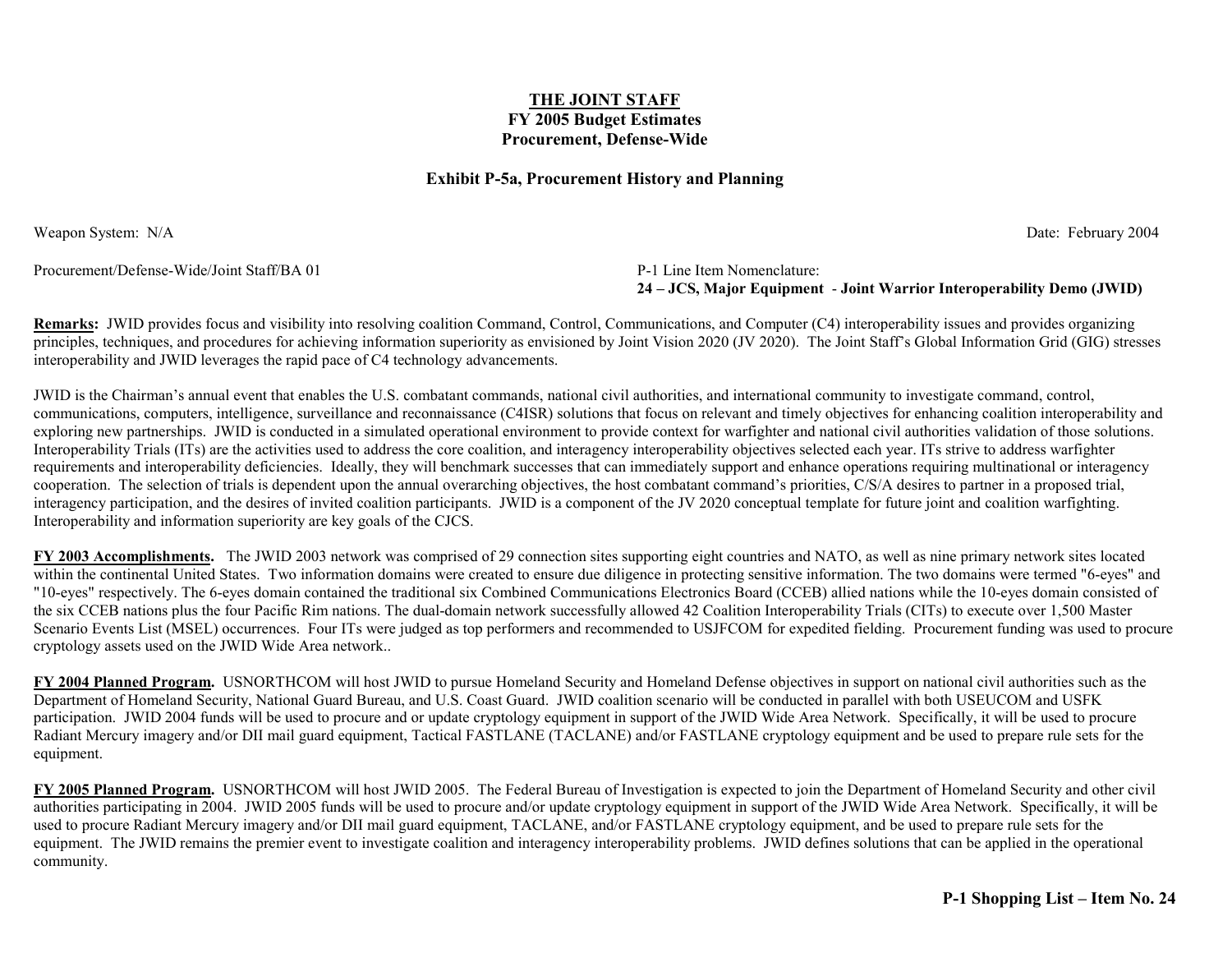#### **Exhibit P-5a, Procurement History and Planning**

Weapon System: N/A Date: February 2004

Procurement/Defense-Wide/Joint Staff/BA 01

P-1 Line Item Nomenclature: **24 – JCS, Major Equipment** - **Joint Warrior Interoperability Demo (JWID)**

**Remarks:** JWID provides focus and visibility into resolving coalition Command, Control, Communications, and Computer (C4) interoperability issues and provides organizing principles, techniques, and procedures for achieving information superiority as envisioned by Joint Vision 2020 (JV 2020). The Joint Staff's Global Information Grid (GIG) stresses interoperability and JWID leverages the rapid pace of C4 technology advancements.

JWID is the Chairman's annual event that enables the U.S. combatant commands, national civil authorities, and international community to investigate command, control, communications, computers, intelligence, surveillance and reconnaissance (C4ISR) solutions that focus on relevant and timely objectives for enhancing coalition interoperability and exploring new partnerships. JWID is conducted in a simulated operational environment to provide context for warfighter and national civil authorities validation of those solutions. Interoperability Trials (ITs) are the activities used to address the core coalition, and interagency interoperability objectives selected each year. ITs strive to address warfighter requirements and interoperability deficiencies. Ideally, they will benchmark successes that can immediately support and enhance operations requiring multinational or interagency cooperation. The selection of trials is dependent upon the annual overarching objectives, the host combatant command's priorities, C/S/A desires to partner in a proposed trial, interagency participation, and the desires of invited coalition participants. JWID is a component of the JV 2020 conceptual template for future joint and coalition warfighting. Interoperability and information superiority are key goals of the CJCS.

**FY 2003 Accomplishments.** The JWID 2003 network was comprised of 29 connection sites supporting eight countries and NATO, as well as nine primary network sites located within the continental United States. Two information domains were created to ensure due diligence in protecting sensitive information. The two domains were termed "6-eyes" and "10-eyes" respectively. The 6-eyes domain contained the traditional six Combined Communications Electronics Board (CCEB) allied nations while the 10-eyes domain consisted of the six CCEB nations plus the four Pacific Rim nations. The dual-domain network successfully allowed 42 Coalition Interoperability Trials (CITs) to execute over 1,500 Master Scenario Events List (MSEL) occurrences. Four ITs were judged as top performers and recommended to USJFCOM for expedited fielding. Procurement funding was used to procure cryptology assets used on the JWID Wide Area network..

**FY 2004 Planned Program.** USNORTHCOM will host JWID to pursue Homeland Security and Homeland Defense objectives in support on national civil authorities such as the Department of Homeland Security, National Guard Bureau, and U.S. Coast Guard. JWID coalition scenario will be conducted in parallel with both USEUCOM and USFK participation. JWID 2004 funds will be used to procure and or update cryptology equipment in support of the JWID Wide Area Network. Specifically, it will be used to procure Radiant Mercury imagery and/or DII mail guard equipment, Tactical FASTLANE (TACLANE) and/or FASTLANE cryptology equipment and be used to prepare rule sets for the equipment.

**FY 2005 Planned Program.** USNORTHCOM will host JWID 2005. The Federal Bureau of Investigation is expected to join the Department of Homeland Security and other civil authorities participating in 2004. JWID 2005 funds will be used to procure and/or update cryptology equipment in support of the JWID Wide Area Network. Specifically, it will be used to procure Radiant Mercury imagery and/or DII mail guard equipment, TACLANE, and/or FASTLANE cryptology equipment, and be used to prepare rule sets for the equipment. The JWID remains the premier event to investigate coalition and interagency interoperability problems. JWID defines solutions that can be applied in the operational community.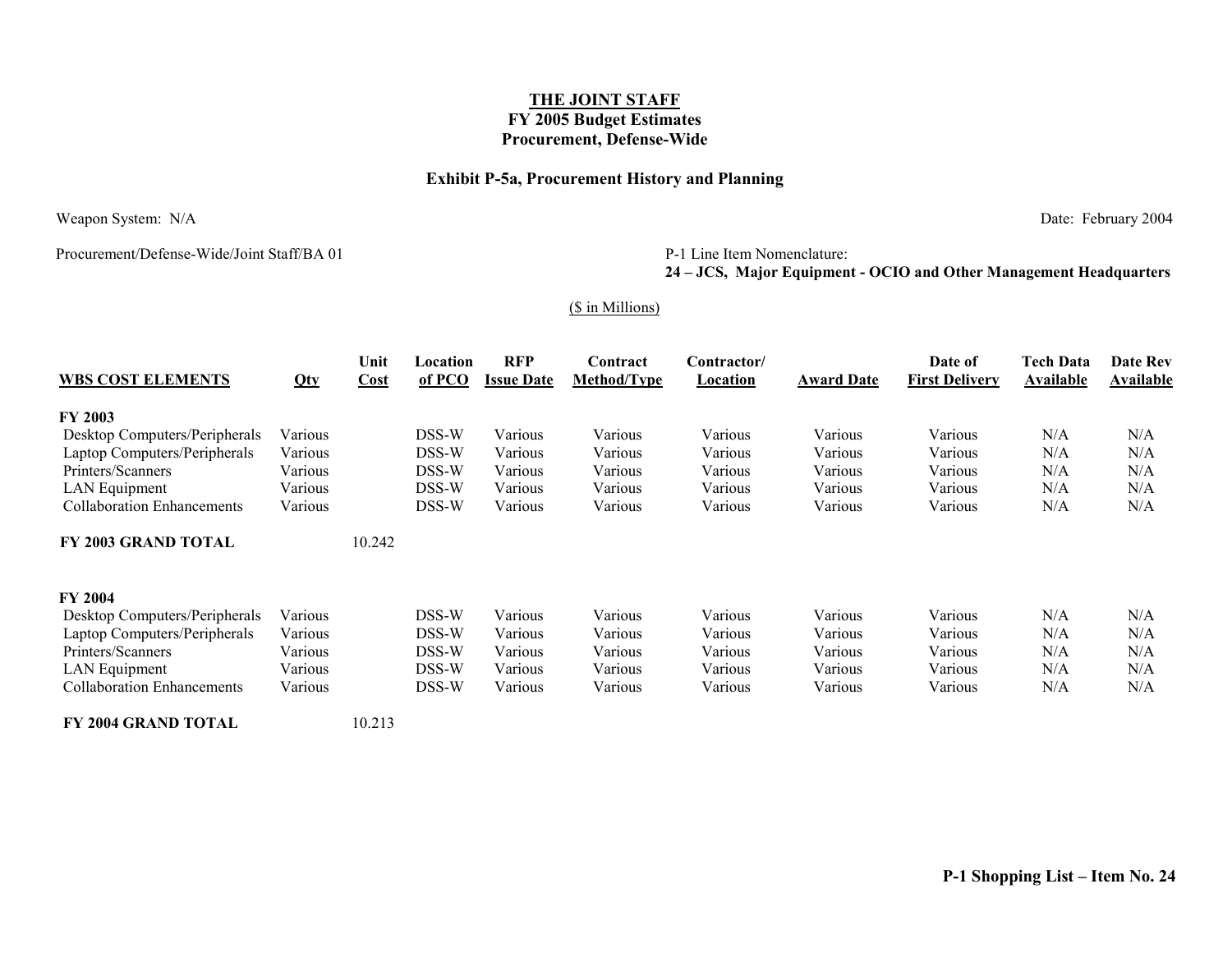### **Exhibit P-5a, Procurement History and Planning**

Weapon System: N/A Date: February 2004

Procurement/Defense-Wide/Joint Staff/BA 01

#### P-1 Line Item Nomenclature:

### **24 – JCS, Major Equipment - OCIO and Other Management Headquarters**

#### (\$ in Millions)

| <b>WBS COST ELEMENTS</b>          |         | Unit<br>Cost | Location<br>of PCO | <b>RFP</b><br><b>Issue Date</b> | Contract<br><b>Method/Type</b> | Contractor/<br>Location | <b>Award Date</b> | Date of<br><b>First Delivery</b> | <b>Tech Data</b><br>Available | <b>Date Rev</b><br><b>Available</b> |
|-----------------------------------|---------|--------------|--------------------|---------------------------------|--------------------------------|-------------------------|-------------------|----------------------------------|-------------------------------|-------------------------------------|
|                                   | Qty     |              |                    |                                 |                                |                         |                   |                                  |                               |                                     |
| <b>FY 2003</b>                    |         |              |                    |                                 |                                |                         |                   |                                  |                               |                                     |
| Desktop Computers/Peripherals     | Various |              | DSS-W              | Various                         | Various                        | Various                 | Various           | Various                          | N/A                           | N/A                                 |
| Laptop Computers/Peripherals      | Various |              | DSS-W              | Various                         | Various                        | Various                 | Various           | Various                          | N/A                           | N/A                                 |
| Printers/Scanners                 | Various |              | DSS-W              | Various                         | Various                        | Various                 | Various           | Various                          | N/A                           | N/A                                 |
| LAN Equipment                     | Various |              | DSS-W              | Various                         | Various                        | Various                 | Various           | Various                          | N/A                           | N/A                                 |
| <b>Collaboration Enhancements</b> | Various |              | DSS-W              | Various                         | Various                        | Various                 | Various           | Various                          | N/A                           | N/A                                 |
| FY 2003 GRAND TOTAL               |         | 10.242       |                    |                                 |                                |                         |                   |                                  |                               |                                     |
| <b>FY 2004</b>                    |         |              |                    |                                 |                                |                         |                   |                                  |                               |                                     |
| Desktop Computers/Peripherals     | Various |              | DSS-W              | Various                         | Various                        | Various                 | Various           | Various                          | N/A                           | N/A                                 |
| Laptop Computers/Peripherals      | Various |              | DSS-W              | Various                         | Various                        | Various                 | Various           | Various                          | N/A                           | N/A                                 |
| Printers/Scanners                 | Various |              | DSS-W              | Various                         | Various                        | Various                 | Various           | Various                          | N/A                           | N/A                                 |
| LAN Equipment                     | Various |              | DSS-W              | Various                         | Various                        | Various                 | Various           | Various                          | N/A                           | N/A                                 |
| <b>Collaboration Enhancements</b> | Various |              | DSS-W              | Various                         | Various                        | Various                 | Various           | Various                          | N/A                           | N/A                                 |
| FY 2004 GRAND TOTAL               |         | 10.213       |                    |                                 |                                |                         |                   |                                  |                               |                                     |

**P-1 Shopping List – Item No. 24**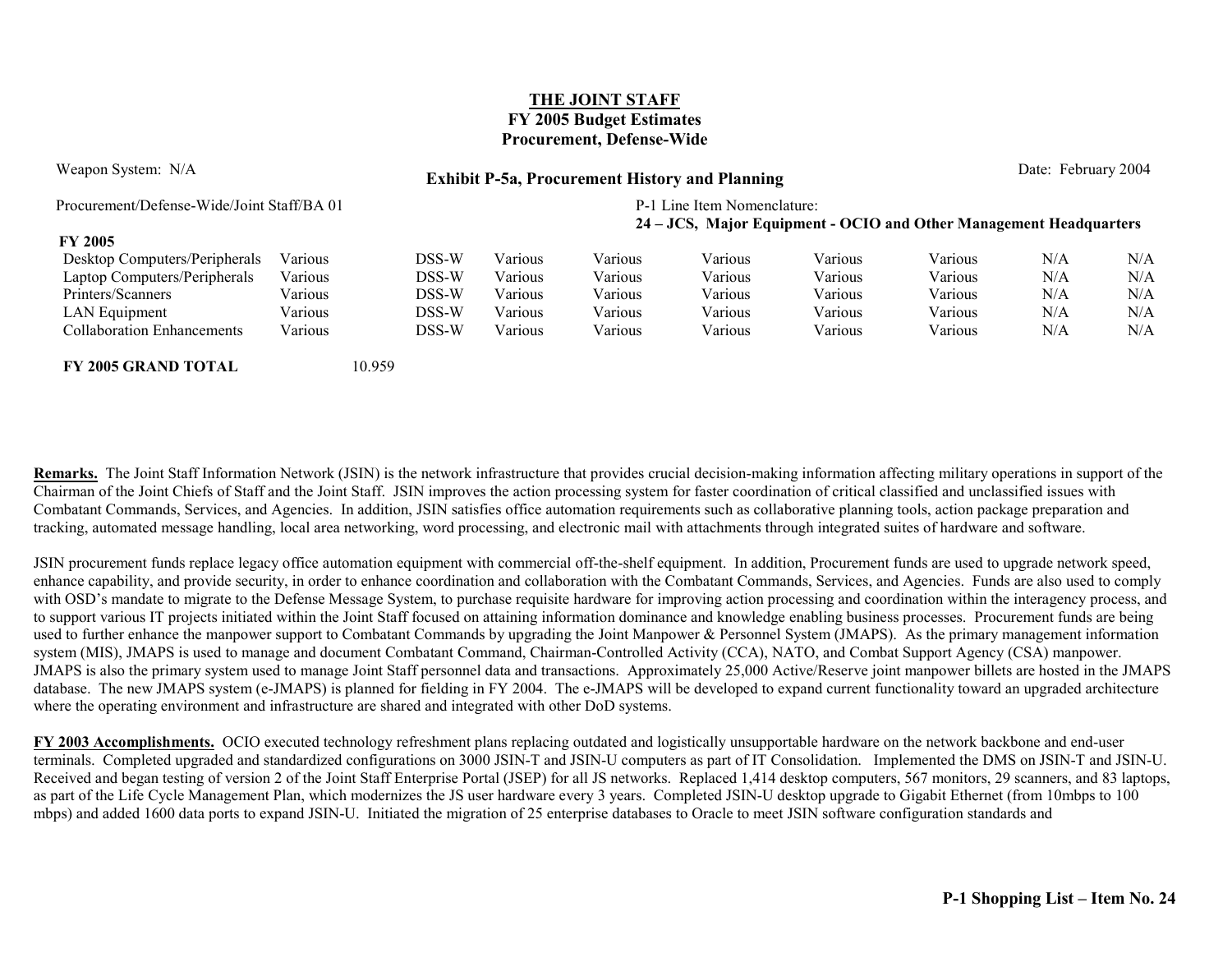**FY 2005**

## Weapon System: N/A **Date: February 2004 Exhibit P-5a, Procurement History and Planning Date: February 2004**

Procurement/Defense-Wide/Joint Staff/BA 01 P-1 Line Item Nomenclature:

#### **24 – JCS, Major Equipment - OCIO and Other Management Headquarters**

| F I <i>LWW</i>                |          |       |                |          |         |         |         |     |     |
|-------------------------------|----------|-------|----------------|----------|---------|---------|---------|-----|-----|
| Desktop Computers/Peripherals | V arıous | DSS-W | Various        | V arıous | Various | Various | Various | N/A | N/A |
| Laptop Computers/Peripherals  | √arıous  | DSS-W | . .<br>Various | Various  | Various | Various | Various | N/A | N/A |
| Printers/Scanners             | arious/  | DSS-W | Various        | Various  | Various | Various | Various | N/A | N/A |
| <b>LAN Equipment</b>          | arious/  | DSS-W | Various        | Various  | Various | Various | Various | N/A | N/A |
| Collaboration Enhancements    | /arious  | DSS-W | Various        | Various  | Various | Various | Various | N/A | N/A |

**FY 2005 GRAND TOTAL** 10.959

**Remarks.** The Joint Staff Information Network (JSIN) is the network infrastructure that provides crucial decision-making information affecting military operations in support of the Chairman of the Joint Chiefs of Staff and the Joint Staff. JSIN improves the action processing system for faster coordination of critical classified and unclassified issues with Combatant Commands, Services, and Agencies. In addition, JSIN satisfies office automation requirements such as collaborative planning tools, action package preparation and tracking, automated message handling, local area networking, word processing, and electronic mail with attachments through integrated suites of hardware and software.

JSIN procurement funds replace legacy office automation equipment with commercial off-the-shelf equipment. In addition, Procurement funds are used to upgrade network speed, enhance capability, and provide security, in order to enhance coordination and collaboration with the Combatant Commands, Services, and Agencies. Funds are also used to comply with OSD's mandate to migrate to the Defense Message System, to purchase requisite hardware for improving action processing and coordination within the interagency process, and to support various IT projects initiated within the Joint Staff focused on attaining information dominance and knowledge enabling business processes. Procurement funds are being used to further enhance the manpower support to Combatant Commands by upgrading the Joint Manpower & Personnel System (JMAPS). As the primary management information system (MIS), JMAPS is used to manage and document Combatant Command, Chairman-Controlled Activity (CCA), NATO, and Combat Support Agency (CSA) manpower. JMAPS is also the primary system used to manage Joint Staff personnel data and transactions. Approximately 25,000 Active/Reserve joint manpower billets are hosted in the JMAPS database. The new JMAPS system (e-JMAPS) is planned for fielding in FY 2004. The e-JMAPS will be developed to expand current functionality toward an upgraded architecture where the operating environment and infrastructure are shared and integrated with other DoD systems.

**FY 2003 Accomplishments.** OCIO executed technology refreshment plans replacing outdated and logistically unsupportable hardware on the network backbone and end-user terminals. Completed upgraded and standardized configurations on 3000 JSIN-T and JSIN-U computers as part of IT Consolidation. Implemented the DMS on JSIN-T and JSIN-U. Received and began testing of version 2 of the Joint Staff Enterprise Portal (JSEP) for all JS networks. Replaced 1,414 desktop computers, 567 monitors, 29 scanners, and 83 laptops, as part of the Life Cycle Management Plan, which modernizes the JS user hardware every 3 years. Completed JSIN-U desktop upgrade to Gigabit Ethernet (from 10mbps to 100 mbps) and added 1600 data ports to expand JSIN-U. Initiated the migration of 25 enterprise databases to Oracle to meet JSIN software configuration standards and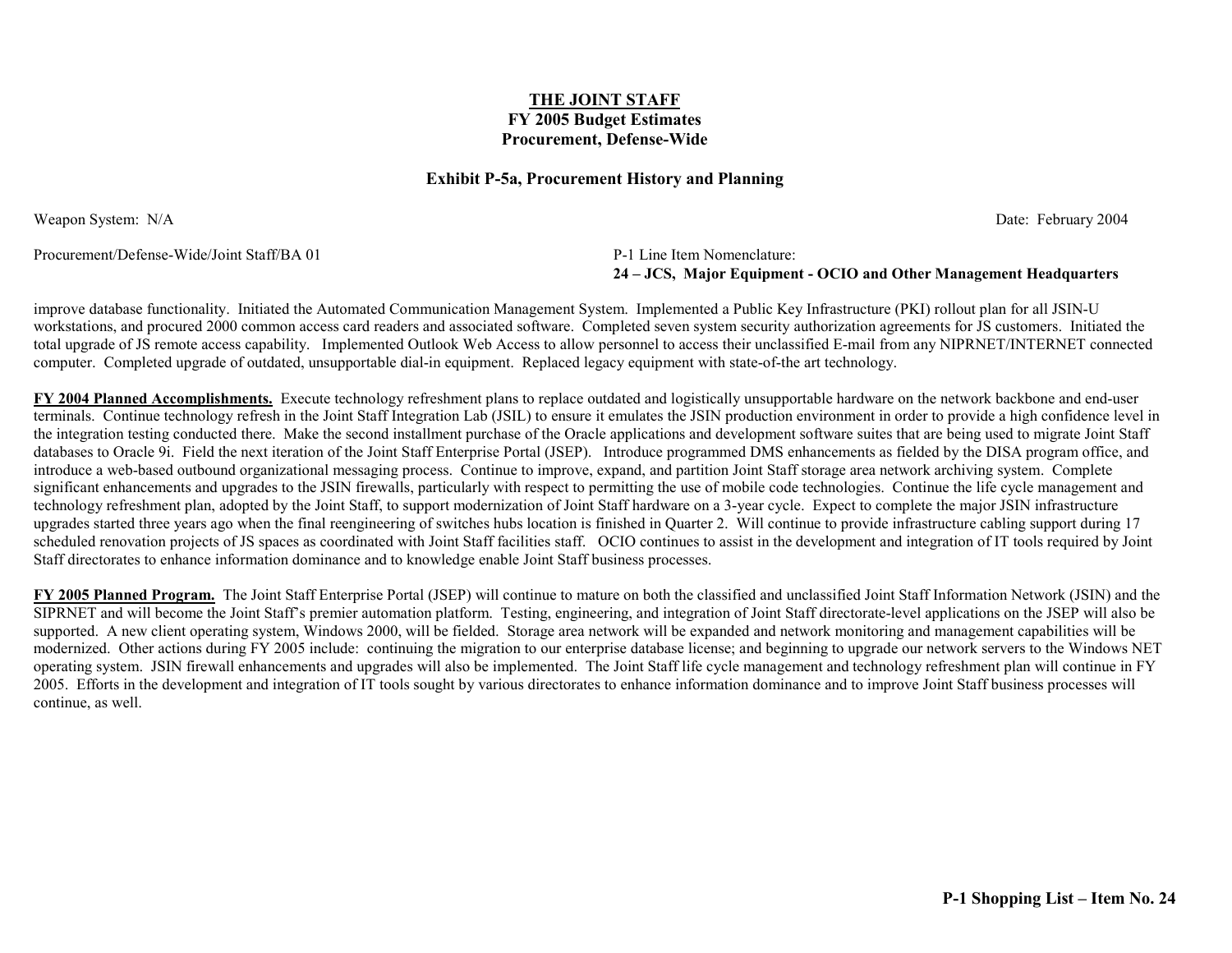#### **Exhibit P-5a, Procurement History and Planning**

Weapon System: N/A Date: February 2004

Procurement/Defense-Wide/Joint Staff/BA 01 P-1 Line Item Nomenclature:

**24 – JCS, Major Equipment - OCIO and Other Management Headquarters**

improve database functionality. Initiated the Automated Communication Management System. Implemented a Public Key Infrastructure (PKI) rollout plan for all JSIN-U workstations, and procured 2000 common access card readers and associated software. Completed seven system security authorization agreements for JS customers. Initiated the total upgrade of JS remote access capability. Implemented Outlook Web Access to allow personnel to access their unclassified E-mail from any NIPRNET/INTERNET connected computer. Completed upgrade of outdated, unsupportable dial-in equipment. Replaced legacy equipment with state-of-the art technology.

**FY 2004 Planned Accomplishments.** Execute technology refreshment plans to replace outdated and logistically unsupportable hardware on the network backbone and end-user terminals. Continue technology refresh in the Joint Staff Integration Lab (JSIL) to ensure it emulates the JSIN production environment in order to provide a high confidence level in the integration testing conducted there. Make the second installment purchase of the Oracle applications and development software suites that are being used to migrate Joint Staff databases to Oracle 9i. Field the next iteration of the Joint Staff Enterprise Portal (JSEP). Introduce programmed DMS enhancements as fielded by the DISA program office, and introduce a web-based outbound organizational messaging process. Continue to improve, expand, and partition Joint Staff storage area network archiving system. Complete significant enhancements and upgrades to the JSIN firewalls, particularly with respect to permitting the use of mobile code technologies. Continue the life cycle management and technology refreshment plan, adopted by the Joint Staff, to support modernization of Joint Staff hardware on a 3-year cycle. Expect to complete the major JSIN infrastructure upgrades started three years ago when the final reengineering of switches hubs location is finished in Quarter 2. Will continue to provide infrastructure cabling support during 17 scheduled renovation projects of JS spaces as coordinated with Joint Staff facilities staff. OCIO continues to assist in the development and integration of IT tools required by Joint Staff directorates to enhance information dominance and to knowledge enable Joint Staff business processes.

**FY 2005 Planned Program.** The Joint Staff Enterprise Portal (JSEP) will continue to mature on both the classified and unclassified Joint Staff Information Network (JSIN) and the SIPRNET and will become the Joint Staff's premier automation platform. Testing, engineering, and integration of Joint Staff directorate-level applications on the JSEP will also be supported. A new client operating system, Windows 2000, will be fielded. Storage area network will be expanded and network monitoring and management capabilities will be modernized. Other actions during FY 2005 include: continuing the migration to our enterprise database license; and beginning to upgrade our network servers to the Windows NET operating system. JSIN firewall enhancements and upgrades will also be implemented. The Joint Staff life cycle management and technology refreshment plan will continue in FY 2005. Efforts in the development and integration of IT tools sought by various directorates to enhance information dominance and to improve Joint Staff business processes will continue, as well.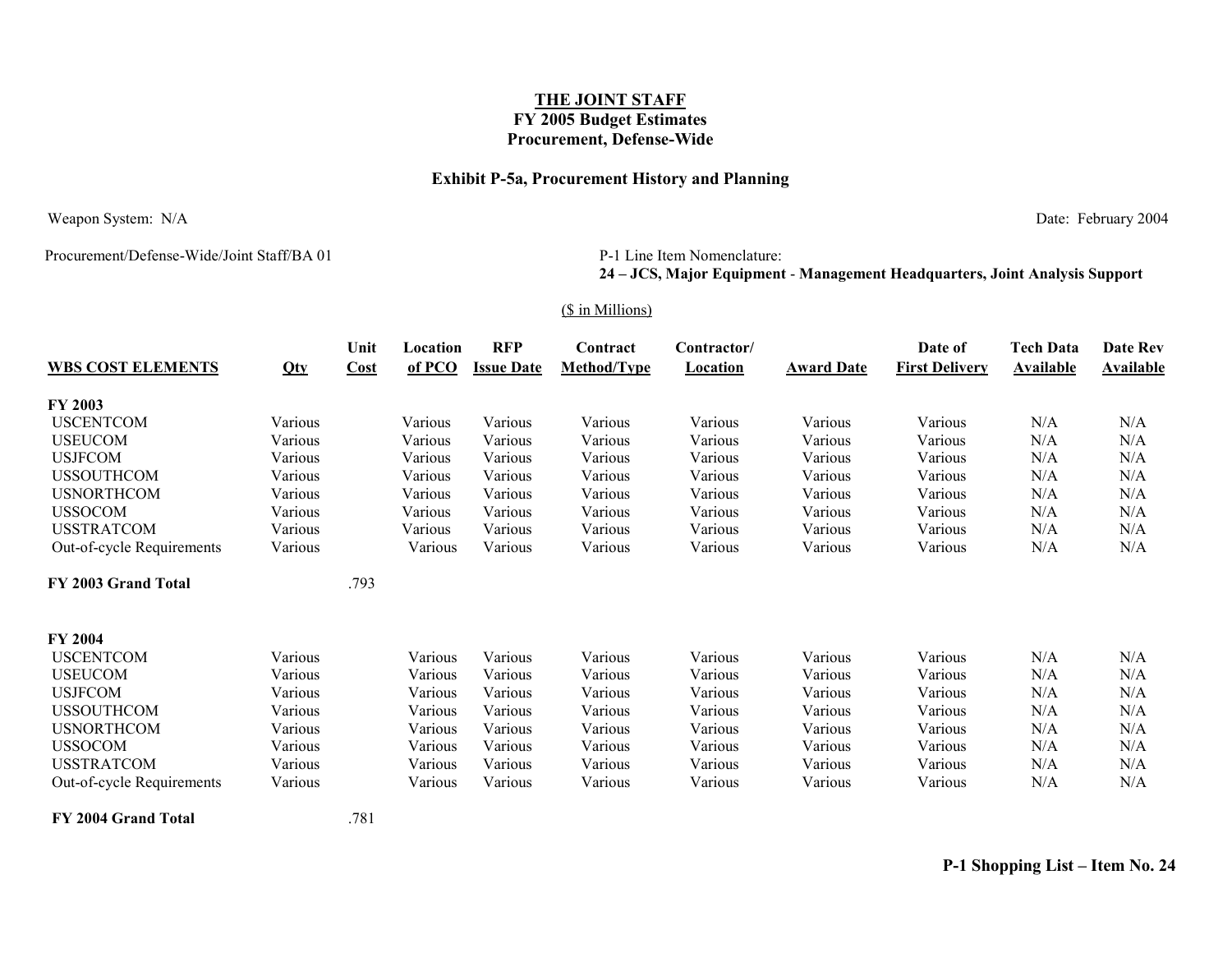### **Exhibit P-5a, Procurement History and Planning**

Weapon System: N/A Date: February 2004

Procurement/Defense-Wide/Joint Staff/BA 01

#### P-1 Line Item Nomenclature: **24 – JCS, Major Equipment** - **Management Headquarters, Joint Analysis Support**

#### (\$ in Millions)

|                           |         | Unit | Location | <b>RFP</b>        | Contract    | Contractor/     |                   | Date of               | <b>Tech Data</b> | Date Rev         |
|---------------------------|---------|------|----------|-------------------|-------------|-----------------|-------------------|-----------------------|------------------|------------------|
| <b>WBS COST ELEMENTS</b>  | Qty     | Cost | of PCO   | <b>Issue Date</b> | Method/Type | <b>Location</b> | <b>Award Date</b> | <b>First Delivery</b> | <b>Available</b> | <b>Available</b> |
| <b>FY 2003</b>            |         |      |          |                   |             |                 |                   |                       |                  |                  |
| <b>USCENTCOM</b>          | Various |      | Various  | Various           | Various     | Various         | Various           | Various               | N/A              | N/A              |
| <b>USEUCOM</b>            | Various |      | Various  | Various           | Various     | Various         | Various           | Various               | N/A              | N/A              |
| <b>USJFCOM</b>            | Various |      | Various  | Various           | Various     | Various         | Various           | Various               | N/A              | N/A              |
| <b>USSOUTHCOM</b>         | Various |      | Various  | Various           | Various     | Various         | Various           | Various               | N/A              | N/A              |
| <b>USNORTHCOM</b>         | Various |      | Various  | Various           | Various     | Various         | Various           | Various               | N/A              | N/A              |
| <b>USSOCOM</b>            | Various |      | Various  | Various           | Various     | Various         | Various           | Various               | N/A              | N/A              |
| <b>USSTRATCOM</b>         | Various |      | Various  | Various           | Various     | Various         | Various           | Various               | N/A              | N/A              |
| Out-of-cycle Requirements | Various |      | Various  | Various           | Various     | Various         | Various           | Various               | N/A              | N/A              |
| FY 2003 Grand Total       |         | .793 |          |                   |             |                 |                   |                       |                  |                  |
| <b>FY 2004</b>            |         |      |          |                   |             |                 |                   |                       |                  |                  |
| <b>USCENTCOM</b>          | Various |      | Various  | Various           | Various     | Various         | Various           | Various               | N/A              | N/A              |
| <b>USEUCOM</b>            | Various |      | Various  | Various           | Various     | Various         | Various           | Various               | N/A              | N/A              |
| <b>USJFCOM</b>            | Various |      | Various  | Various           | Various     | Various         | Various           | Various               | N/A              | N/A              |
| <b>USSOUTHCOM</b>         | Various |      | Various  | Various           | Various     | Various         | Various           | Various               | N/A              | N/A              |
| <b>USNORTHCOM</b>         | Various |      | Various  | Various           | Various     | Various         | Various           | Various               | N/A              | N/A              |
| <b>USSOCOM</b>            | Various |      | Various  | Various           | Various     | Various         | Various           | Various               | N/A              | N/A              |
| <b>USSTRATCOM</b>         | Various |      | Various  | Various           | Various     | Various         | Various           | Various               | N/A              | N/A              |
| Out-of-cycle Requirements | Various |      | Various  | Various           | Various     | Various         | Various           | Various               | N/A              | N/A              |

**FY 2004 Grand Total** .781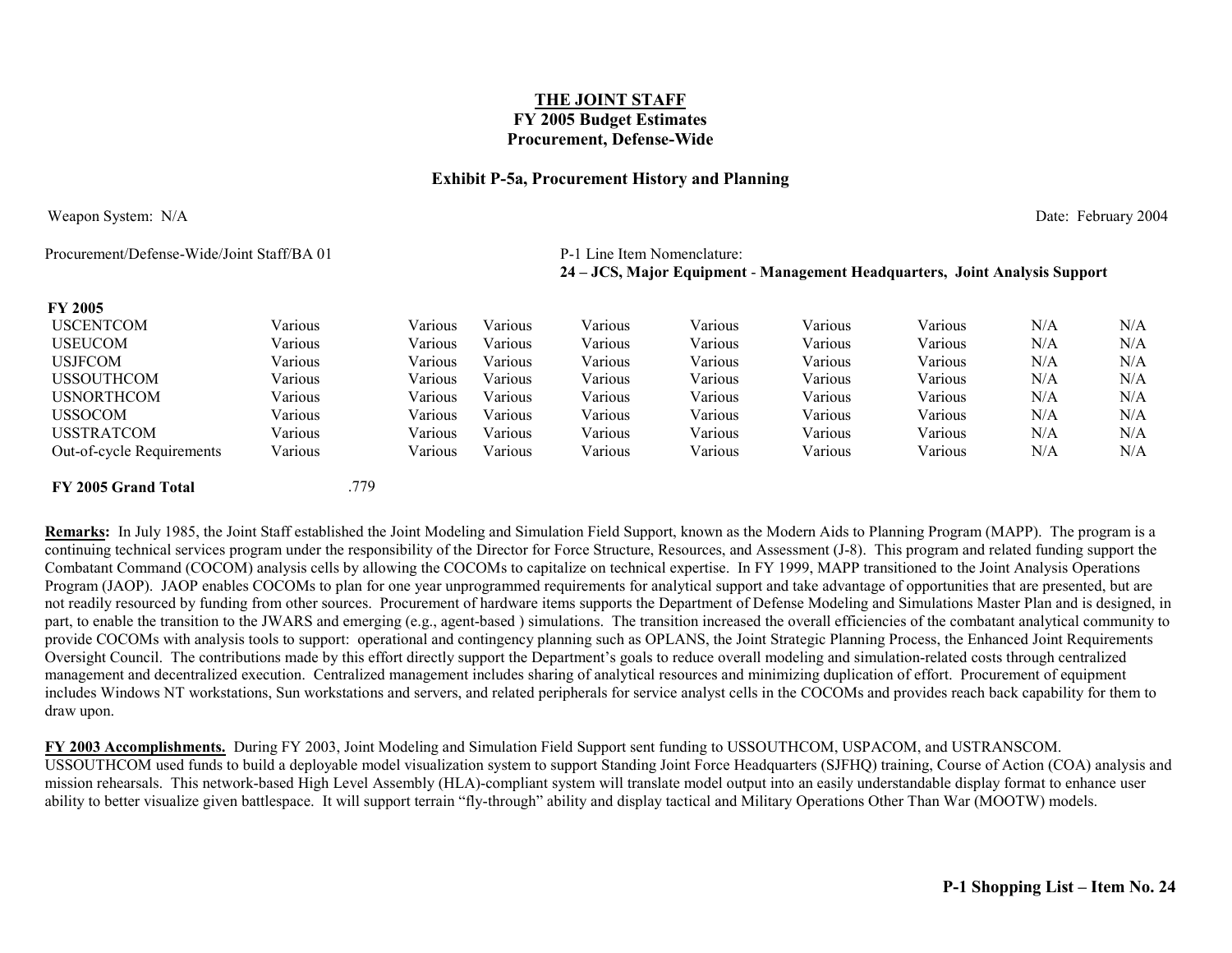#### **Exhibit P-5a, Procurement History and Planning**

Weapon System: N/A Date: February 2004

Procurement/Defense-Wide/Joint Staff/BA 01 P-1 Line Item Nomenclature:

# **24 – JCS, Major Equipment** - **Management Headquarters, Joint Analysis Support**

#### **FY 2005**

| F Y <i>2</i> 005          |         |         |         |         |         |         |         |     |     |
|---------------------------|---------|---------|---------|---------|---------|---------|---------|-----|-----|
| <b>USCENTCOM</b>          | Various | Various | Various | Various | Various | Various | Various | N/A | N/A |
| <b>USEUCOM</b>            | Various | Various | Various | Various | Various | Various | Various | N/A | N/A |
| <b>USJFCOM</b>            | Various | Various | Various | Various | Various | Various | Various | N/A | N/A |
| <b>USSOUTHCOM</b>         | Various | Various | Various | Various | Various | Various | Various | N/A | N/A |
| <b>USNORTHCOM</b>         | Various | Various | Various | Various | Various | Various | Various | N/A | N/A |
| <b>USSOCOM</b>            | Various | Various | Various | Various | Various | Various | Various | N/A | N/A |
| <b>USSTRATCOM</b>         | Various | Various | Various | Various | Various | Various | Various | N/A | N/A |
| Out-of-cycle Requirements | Various | Various | Various | Various | Various | Various | Various | N/A | N/A |
| FY 2005 Grand Total       |         | .779    |         |         |         |         |         |     |     |

**Remarks:** In July 1985, the Joint Staff established the Joint Modeling and Simulation Field Support, known as the Modern Aids to Planning Program (MAPP). The program is a continuing technical services program under the responsibility of the Director for Force Structure, Resources, and Assessment (J-8). This program and related funding support the Combatant Command (COCOM) analysis cells by allowing the COCOMs to capitalize on technical expertise. In FY 1999, MAPP transitioned to the Joint Analysis Operations Program (JAOP). JAOP enables COCOMs to plan for one year unprogrammed requirements for analytical support and take advantage of opportunities that are presented, but are not readily resourced by funding from other sources. Procurement of hardware items supports the Department of Defense Modeling and Simulations Master Plan and is designed, in part, to enable the transition to the JWARS and emerging (e.g., agent-based) simulations. The transition increased the overall efficiencies of the combatant analytical community to provide COCOMs with analysis tools to support: operational and contingency planning such as OPLANS, the Joint Strategic Planning Process, the Enhanced Joint Requirements Oversight Council. The contributions made by this effort directly support the Department's goals to reduce overall modeling and simulation-related costs through centralized management and decentralized execution. Centralized management includes sharing of analytical resources and minimizing duplication of effort. Procurement of equipment includes Windows NT workstations, Sun workstations and servers, and related peripherals for service analyst cells in the COCOMs and provides reach back capability for them to draw upon.

**FY 2003 Accomplishments.** During FY 2003, Joint Modeling and Simulation Field Support sent funding to USSOUTHCOM, USPACOM, and USTRANSCOM. USSOUTHCOM used funds to build a deployable model visualization system to support Standing Joint Force Headquarters (SJFHQ) training, Course of Action (COA) analysis and mission rehearsals. This network-based High Level Assembly (HLA)-compliant system will translate model output into an easily understandable display format to enhance user ability to better visualize given battlespace. It will support terrain "fly-through" ability and display tactical and Military Operations Other Than War (MOOTW) models.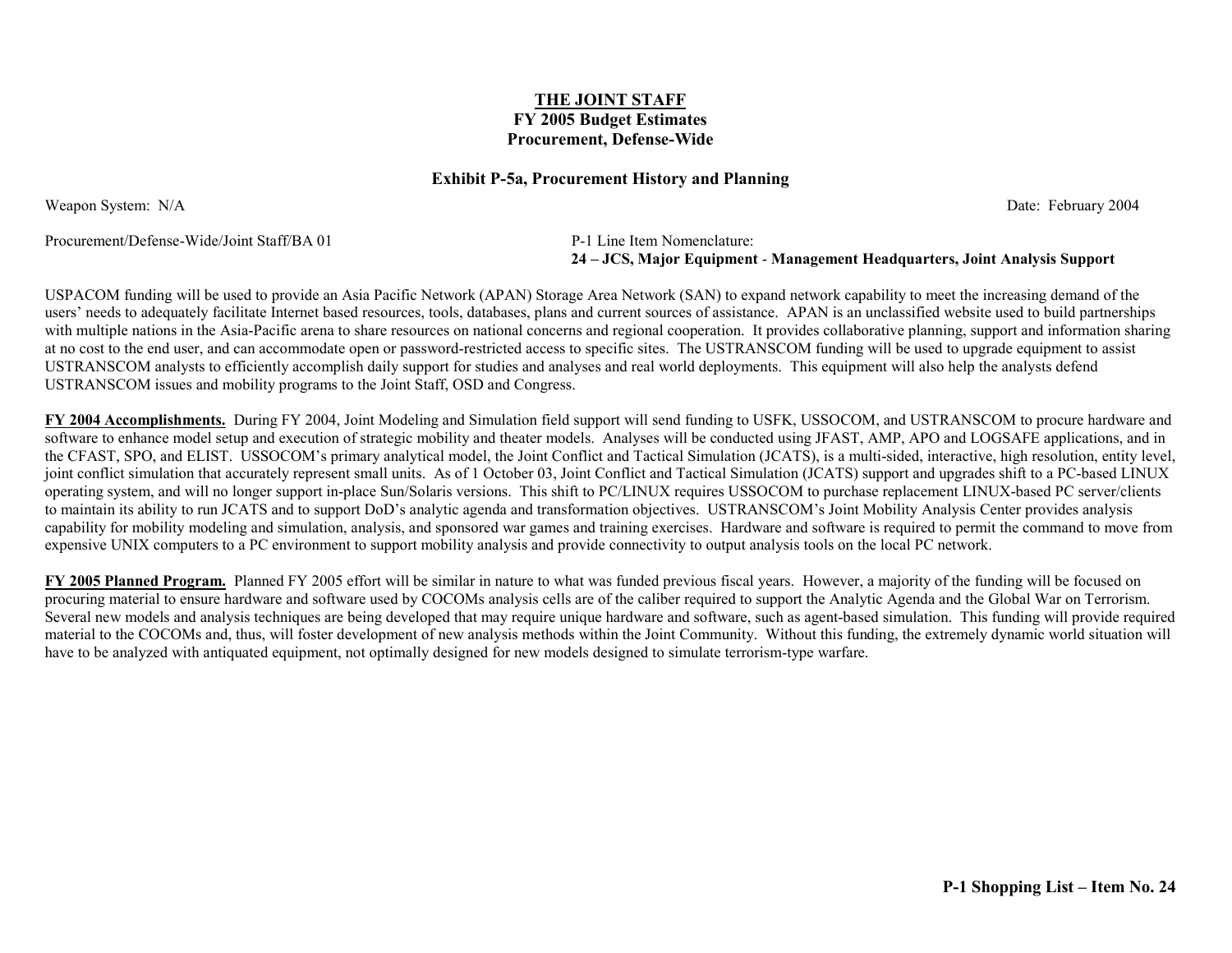#### **Exhibit P-5a, Procurement History and Planning**

Weapon System: N/A Date: February 2004

Procurement/Defense-Wide/Joint Staff/BA 01 P-1 Line Item Nomenclature:

**24 – JCS, Major Equipment** - **Management Headquarters, Joint Analysis Support**

USPACOM funding will be used to provide an Asia Pacific Network (APAN) Storage Area Network (SAN) to expand network capability to meet the increasing demand of the users' needs to adequately facilitate Internet based resources, tools, databases, plans and current sources of assistance. APAN is an unclassified website used to build partnerships with multiple nations in the Asia-Pacific arena to share resources on national concerns and regional cooperation. It provides collaborative planning, support and information sharing at no cost to the end user, and can accommodate open or password-restricted access to specific sites. The USTRANSCOM funding will be used to upgrade equipment to assist USTRANSCOM analysts to efficiently accomplish daily support for studies and analyses and real world deployments. This equipment will also help the analysts defend USTRANSCOM issues and mobility programs to the Joint Staff, OSD and Congress.

**FY 2004 Accomplishments.** During FY 2004, Joint Modeling and Simulation field support will send funding to USFK, USSOCOM, and USTRANSCOM to procure hardware and software to enhance model setup and execution of strategic mobility and theater models. Analyses will be conducted using JFAST, AMP, APO and LOGSAFE applications, and in the CFAST, SPO, and ELIST. USSOCOM's primary analytical model, the Joint Conflict and Tactical Simulation (JCATS), is a multi-sided, interactive, high resolution, entity level, joint conflict simulation that accurately represent small units. As of 1 October 03, Joint Conflict and Tactical Simulation (JCATS) support and upgrades shift to a PC-based LINUX operating system, and will no longer support in-place Sun/Solaris versions. This shift to PC/LINUX requires USSOCOM to purchase replacement LINUX-based PC server/clients to maintain its ability to run JCATS and to support DoD's analytic agenda and transformation objectives. USTRANSCOM's Joint Mobility Analysis Center provides analysis capability for mobility modeling and simulation, analysis, and sponsored war games and training exercises. Hardware and software is required to permit the command to move from expensive UNIX computers to a PC environment to support mobility analysis and provide connectivity to output analysis tools on the local PC network.

**FY 2005 Planned Program.** Planned FY 2005 effort will be similar in nature to what was funded previous fiscal years. However, a majority of the funding will be focused on procuring material to ensure hardware and software used by COCOMs analysis cells are of the caliber required to support the Analytic Agenda and the Global War on Terrorism. Several new models and analysis techniques are being developed that may require unique hardware and software, such as agent-based simulation. This funding will provide required material to the COCOMs and, thus, will foster development of new analysis methods within the Joint Community. Without this funding, the extremely dynamic world situation will have to be analyzed with antiquated equipment, not optimally designed for new models designed to simulate terrorism-type warfare.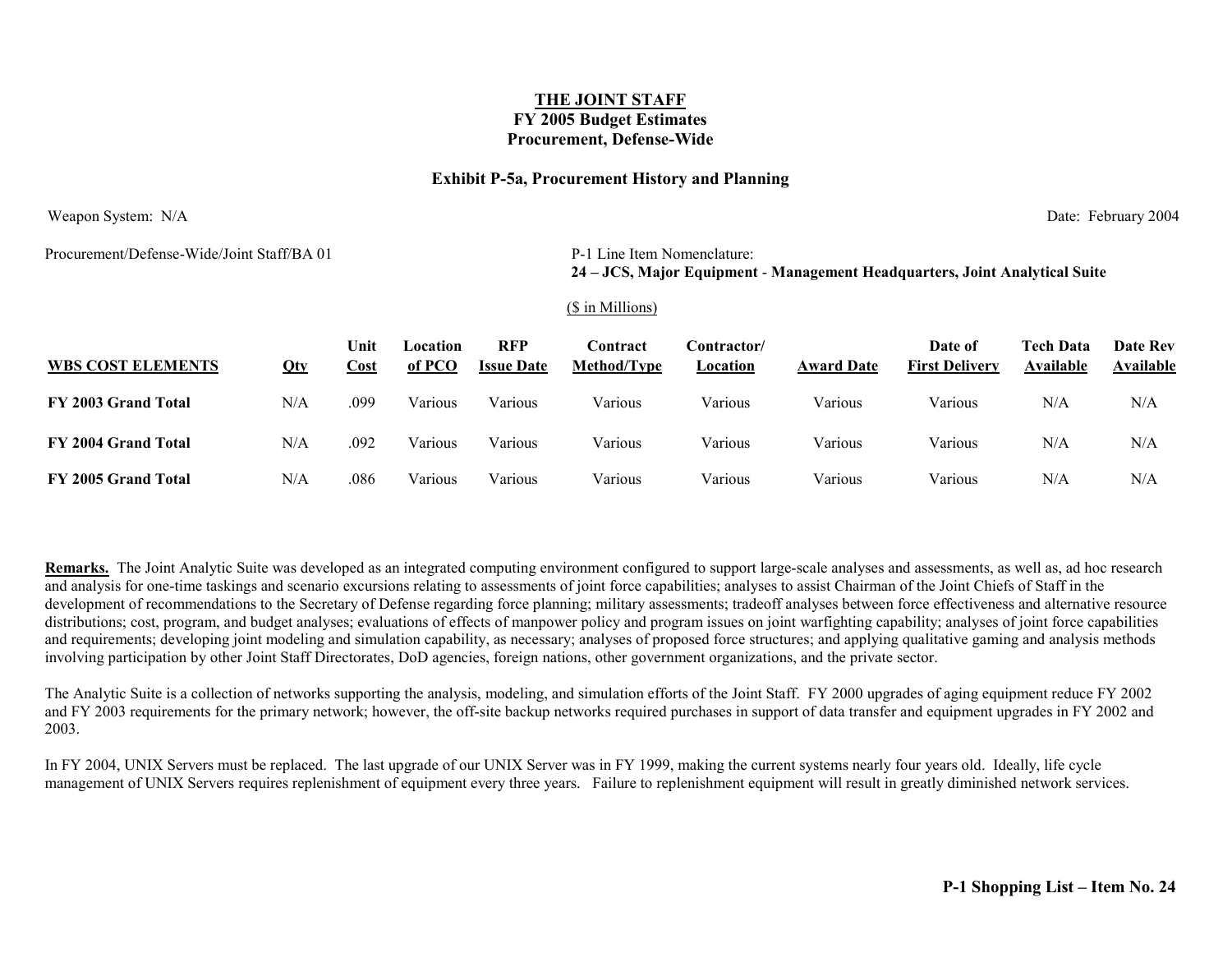#### **Exhibit P-5a, Procurement History and Planning**

Weapon System: N/A Date: February 2004

Procurement/Defense-Wide/Joint Staff/BA 01 P-1 Line Item Nomenclature:

# **24 – JCS, Major Equipment** - **Management Headquarters, Joint Analytical Suite**

#### (\$ in Millions)

| <b>WBS COST ELEMENTS</b> | Qty | Jnit<br>Cost | Location<br>of PCO | RFP<br><b>Issue Date</b> | <b>Contract</b><br>Method/Type | :\ontractor<br>Location | <b>Award Date</b> | Date of<br><b>First Delivery</b> | <b>Tech Data</b><br>Available | <b>Date Rev</b><br>Available |
|--------------------------|-----|--------------|--------------------|--------------------------|--------------------------------|-------------------------|-------------------|----------------------------------|-------------------------------|------------------------------|
| FY 2003 Grand Total      | N/A | .099         | √arious            | Various                  | Various                        | Various                 | Various           | Various                          | N/A                           | N/A                          |
| FY 2004 Grand Total      | N/A | .092         | Various            | Various                  | Various                        | Various                 | Various           | Various                          | N/A                           | N/A                          |
| FY 2005 Grand Total      | N/A | .086         | √arıous            | Various                  | Various                        | Various                 | Various           | Various                          | $\rm N/A$                     | N/A                          |

**Remarks.** The Joint Analytic Suite was developed as an integrated computing environment configured to support large-scale analyses and assessments, as well as, ad hoc research and analysis for one-time taskings and scenario excursions relating to assessments of joint force capabilities; analyses to assist Chairman of the Joint Chiefs of Staff in the development of recommendations to the Secretary of Defense regarding force planning; military assessments; tradeoff analyses between force effectiveness and alternative resource distributions; cost, program, and budget analyses; evaluations of effects of manpower policy and program issues on joint warfighting capability; analyses of joint force capabilities and requirements; developing joint modeling and simulation capability, as necessary; analyses of proposed force structures; and applying qualitative gaming and analysis methods involving participation by other Joint Staff Directorates, DoD agencies, foreign nations, other government organizations, and the private sector.

The Analytic Suite is a collection of networks supporting the analysis, modeling, and simulation efforts of the Joint Staff. FY 2000 upgrades of aging equipment reduce FY 2002 and FY 2003 requirements for the primary network; however, the off-site backup networks required purchases in support of data transfer and equipment upgrades in FY 2002 and 2003.

In FY 2004, UNIX Servers must be replaced. The last upgrade of our UNIX Server was in FY 1999, making the current systems nearly four years old. Ideally, life cycle management of UNIX Servers requires replenishment of equipment every three years. Failure to replenishment equipment will result in greatly diminished network services.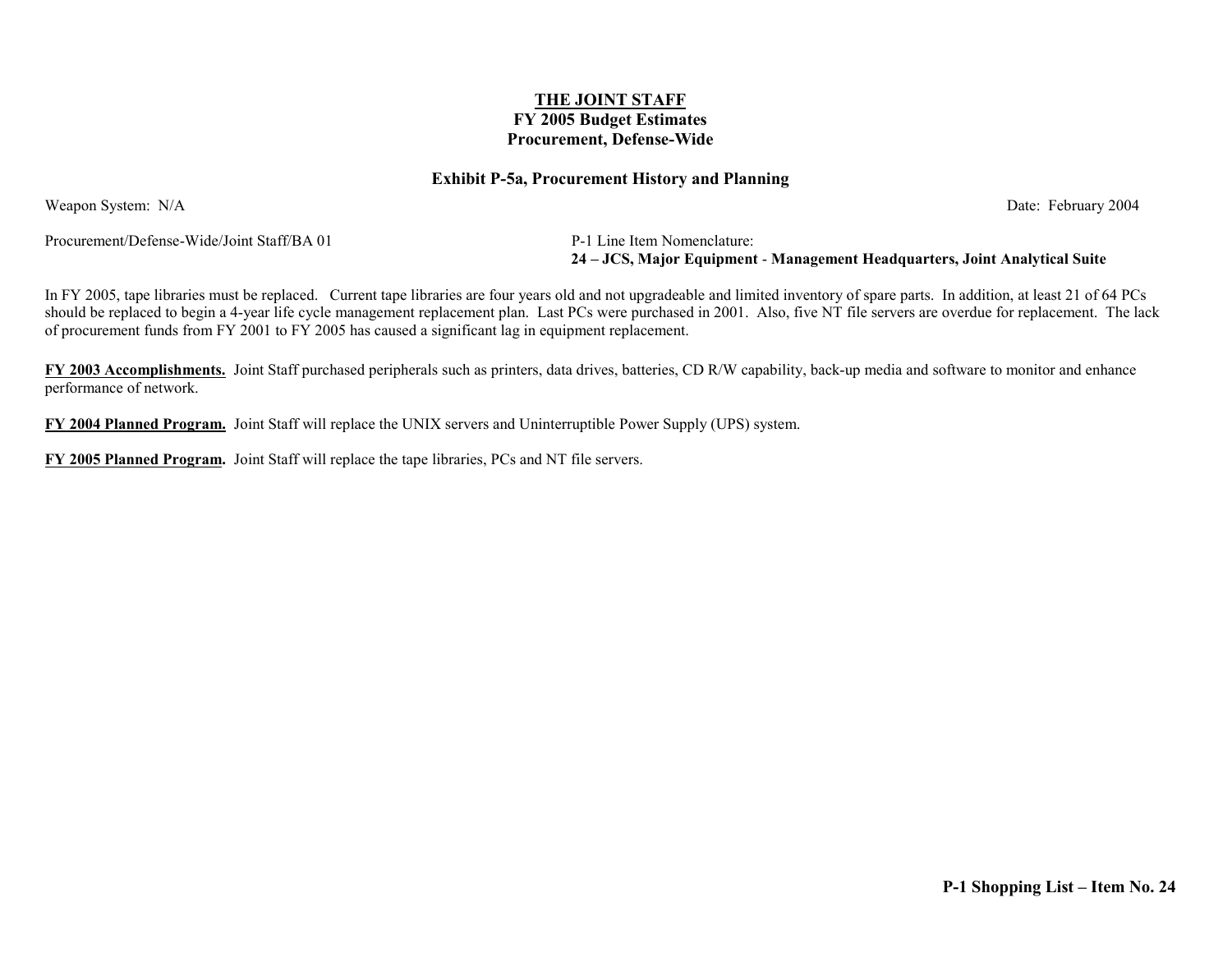#### **Exhibit P-5a, Procurement History and Planning**

Weapon System: N/A Date: February 2004

Procurement/Defense-Wide/Joint Staff/BA 01 P-1 Line Item Nomenclature:

**24 – JCS, Major Equipment** - **Management Headquarters, Joint Analytical Suite**

In FY 2005, tape libraries must be replaced. Current tape libraries are four years old and not upgradeable and limited inventory of spare parts. In addition, at least 21 of 64 PCs should be replaced to begin a 4-year life cycle management replacement plan. Last PCs were purchased in 2001. Also, five NT file servers are overdue for replacement. The lack of procurement funds from FY 2001 to FY 2005 has caused a significant lag in equipment replacement.

**FY 2003 Accomplishments.** Joint Staff purchased peripherals such as printers, data drives, batteries, CD R/W capability, back-up media and software to monitor and enhance performance of network.

**FY 2004 Planned Program.** Joint Staff will replace the UNIX servers and Uninterruptible Power Supply (UPS) system.

**FY 2005 Planned Program.** Joint Staff will replace the tape libraries, PCs and NT file servers.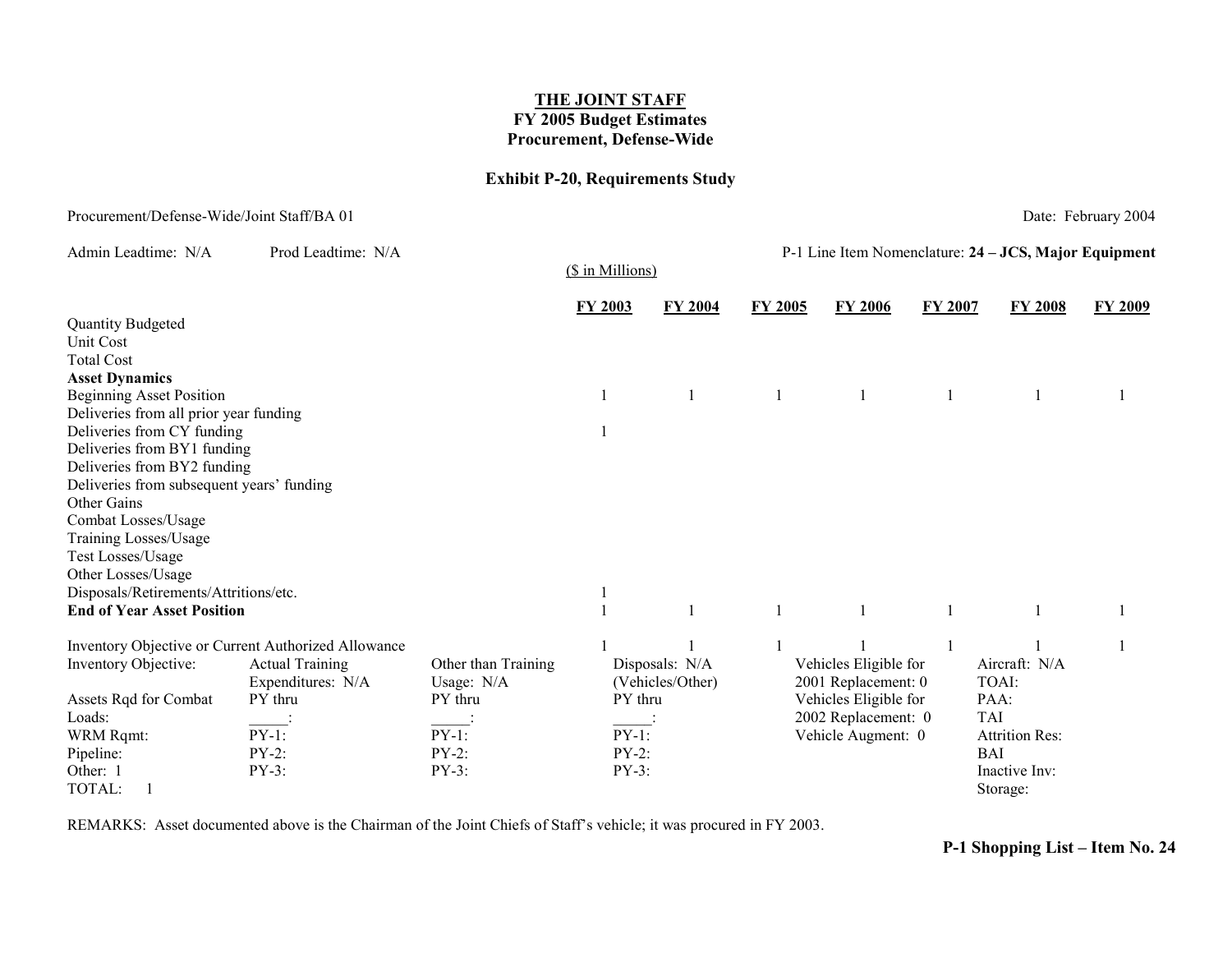### **Exhibit P-20, Requirements Study**

### Procurement/Defense-Wide/Joint Staff/BA 01 Date: February 2004

| Admin Leadtime: N/A                       | Prod Leadtime: N/A                                  |                     | (\$ in Millions)            |                | P-1 Line Item Nomenclature: 24 - JCS, Major Equipment |                       |         |                       |         |  |
|-------------------------------------------|-----------------------------------------------------|---------------------|-----------------------------|----------------|-------------------------------------------------------|-----------------------|---------|-----------------------|---------|--|
|                                           |                                                     |                     | <b>FY 2003</b>              | <b>FY 2004</b> | <b>FY 2005</b>                                        | <b>FY 2006</b>        | FY 2007 | <b>FY 2008</b>        | FY 2009 |  |
| <b>Quantity Budgeted</b>                  |                                                     |                     |                             |                |                                                       |                       |         |                       |         |  |
| Unit Cost                                 |                                                     |                     |                             |                |                                                       |                       |         |                       |         |  |
| <b>Total Cost</b>                         |                                                     |                     |                             |                |                                                       |                       |         |                       |         |  |
| <b>Asset Dynamics</b>                     |                                                     |                     |                             |                |                                                       |                       |         |                       |         |  |
| <b>Beginning Asset Position</b>           |                                                     |                     |                             |                |                                                       |                       |         |                       |         |  |
| Deliveries from all prior year funding    |                                                     |                     |                             |                |                                                       |                       |         |                       |         |  |
| Deliveries from CY funding                |                                                     |                     |                             |                |                                                       |                       |         |                       |         |  |
| Deliveries from BY1 funding               |                                                     |                     |                             |                |                                                       |                       |         |                       |         |  |
| Deliveries from BY2 funding               |                                                     |                     |                             |                |                                                       |                       |         |                       |         |  |
| Deliveries from subsequent years' funding |                                                     |                     |                             |                |                                                       |                       |         |                       |         |  |
| Other Gains                               |                                                     |                     |                             |                |                                                       |                       |         |                       |         |  |
| Combat Losses/Usage                       |                                                     |                     |                             |                |                                                       |                       |         |                       |         |  |
| Training Losses/Usage                     |                                                     |                     |                             |                |                                                       |                       |         |                       |         |  |
| Test Losses/Usage                         |                                                     |                     |                             |                |                                                       |                       |         |                       |         |  |
| Other Losses/Usage                        |                                                     |                     |                             |                |                                                       |                       |         |                       |         |  |
| Disposals/Retirements/Attritions/etc.     |                                                     |                     |                             |                |                                                       |                       |         |                       |         |  |
| <b>End of Year Asset Position</b>         |                                                     |                     |                             |                |                                                       |                       |         |                       |         |  |
|                                           | Inventory Objective or Current Authorized Allowance |                     |                             |                |                                                       |                       |         |                       |         |  |
| Inventory Objective:                      | <b>Actual Training</b>                              | Other than Training |                             | Disposals: N/A |                                                       | Vehicles Eligible for |         | Aircraft: N/A         |         |  |
|                                           | Expenditures: N/A                                   | Usage: N/A          | (Vehicles/Other)<br>PY thru |                | 2001 Replacement: 0<br>Vehicles Eligible for          |                       |         | TOAI:                 |         |  |
| Assets Rqd for Combat                     | PY thru                                             | PY thru             |                             |                |                                                       |                       |         | PAA:                  |         |  |
| Loads:                                    |                                                     |                     |                             |                |                                                       | 2002 Replacement: 0   |         | <b>TAI</b>            |         |  |
| WRM Rqmt:                                 | $PY-1$ :                                            | $PY-1$ :            | $PY-1$ :                    |                |                                                       | Vehicle Augment: 0    |         | <b>Attrition Res:</b> |         |  |
| Pipeline:                                 | $PY-2:$                                             | $PY-2$ :            | $PY-2$ :                    |                |                                                       |                       |         | <b>BAI</b>            |         |  |
| Other: 1                                  | $PY-3$ :                                            | $PY-3:$             | PY-3:                       |                |                                                       |                       |         | Inactive Inv:         |         |  |
| TOTAL:                                    |                                                     |                     |                             |                |                                                       |                       |         | Storage:              |         |  |

REMARKS: Asset documented above is the Chairman of the Joint Chiefs of Staff's vehicle; it was procured in FY 2003.

**P-1 Shopping List – Item No. 24**